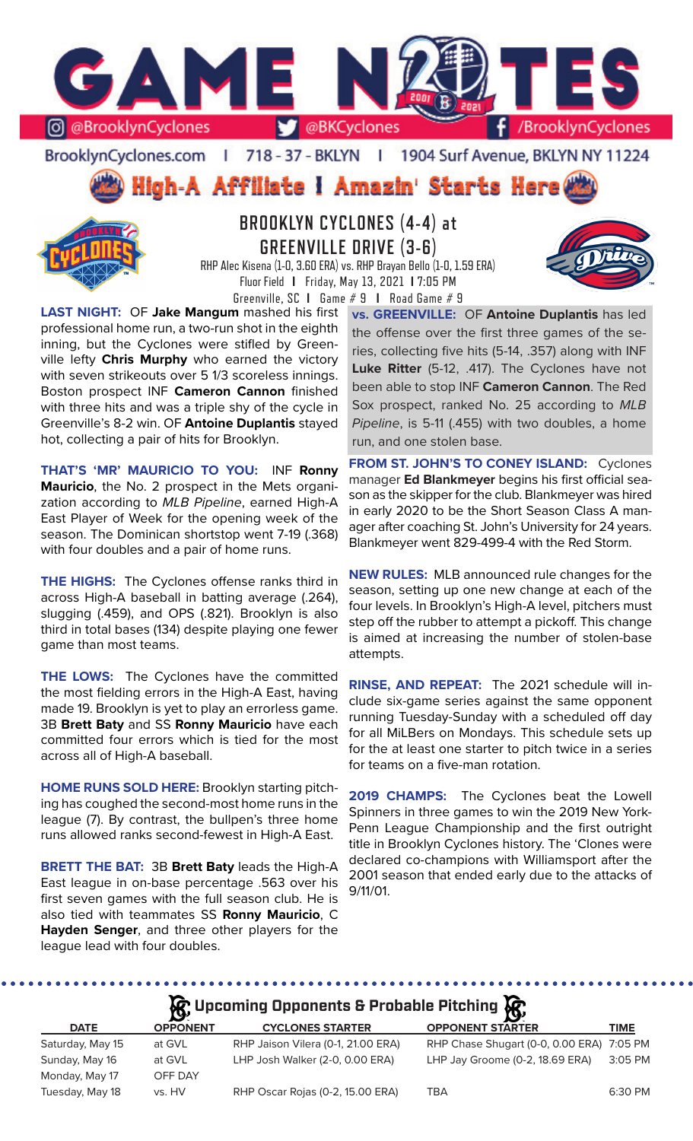

BrooklynCyclones.com | 718 - 37 - BKLYN | 1904 Surf Avenue, BKLYN NY 11224

High-A Affiliate i Amazin' Starts Here



# **BROOKLYN CYCLONES (4-4) at GREENVILLE DRIVE (3-6)**

RHP Alec Kisena (1-0, 3.60 ERA) vs. RHP Brayan Bello (1-0, 1.59 ERA) Fluor Field **I** Friday, May 13, 2021 **I** 7:05 PM Greenville, SC **I** Game # 9 **I** Road Game # 9

**LAST NIGHT:** OF **Jake Mangum** mashed his first professional home run, a two-run shot in the eighth inning, but the Cyclones were stifled by Greenville lefty **Chris Murphy** who earned the victory with seven strikeouts over 5 1/3 scoreless innings. Boston prospect INF **Cameron Cannon** finished with three hits and was a triple shy of the cycle in Greenville's 8-2 win. OF **Antoine Duplantis** stayed hot, collecting a pair of hits for Brooklyn.

**THAT'S 'MR' MAURICIO TO YOU:** INF **Ronny Mauricio**, the No. 2 prospect in the Mets organization according to *MLB Pipeline*, earned High-A East Player of Week for the opening week of the season. The Dominican shortstop went 7-19 (.368) with four doubles and a pair of home runs.

**THE HIGHS:** The Cyclones offense ranks third in across High-A baseball in batting average (.264), slugging (.459), and OPS (.821). Brooklyn is also third in total bases (134) despite playing one fewer game than most teams.

**THE LOWS:** The Cyclones have the committed the most fielding errors in the High-A East, having made 19. Brooklyn is yet to play an errorless game. 3B **Brett Baty** and SS **Ronny Mauricio** have each committed four errors which is tied for the most across all of High-A baseball.

**HOME RUNS SOLD HERE:** Brooklyn starting pitching has coughed the second-most home runs in the league (7). By contrast, the bullpen's three home runs allowed ranks second-fewest in High-A East.

**BRETT THE BAT:** 3B **Brett Baty** leads the High-A East league in on-base percentage .563 over his first seven games with the full season club. He is also tied with teammates SS **Ronny Mauricio**, C **Hayden Senger**, and three other players for the league lead with four doubles.

**vs. GREENVILLE:** OF **Antoine Duplantis** has led the offense over the first three games of the series, collecting five hits (5-14, .357) along with INF **Luke Ritter** (5-12, .417). The Cyclones have not been able to stop INF **Cameron Cannon**. The Red Sox prospect, ranked No. 25 according to *MLB Pipeline*, is 5-11 (.455) with two doubles, a home run, and one stolen base.

**FROM ST. JOHN'S TO CONEY ISLAND:** Cyclones manager **Ed Blankmeyer** begins his first official season as the skipper for the club. Blankmeyer was hired in early 2020 to be the Short Season Class A manager after coaching St. John's University for 24 years. Blankmeyer went 829-499-4 with the Red Storm.

**NEW RULES:** MLB announced rule changes for the season, setting up one new change at each of the four levels. In Brooklyn's High-A level, pitchers must step off the rubber to attempt a pickoff. This change is aimed at increasing the number of stolen-base attempts.

**RINSE, AND REPEAT:** The 2021 schedule will include six-game series against the same opponent running Tuesday-Sunday with a scheduled off day for all MiLBers on Mondays. This schedule sets up for the at least one starter to pitch twice in a series for teams on a five-man rotation.

**2019 CHAMPS:** The Cyclones beat the Lowell Spinners in three games to win the 2019 New York-Penn League Championship and the first outright title in Brooklyn Cyclones history. The 'Clones were declared co-champions with Williamsport after the 2001 season that ended early due to the attacks of 9/11/01.

# **A**: Upcoming Opponents & Probable Pitching  $\mathbb{R}$

|                  | $\mathbf{D}^{\mathbf{p}}$ |                                    | - <b>IA</b>                               |             |
|------------------|---------------------------|------------------------------------|-------------------------------------------|-------------|
| <b>DATE</b>      | <b>OPPONENT</b>           | <b>CYCLONES STARTER</b>            | <b>OPPONENT STARTER</b>                   | <b>TIME</b> |
| Saturday, May 15 | at GVL                    | RHP Jaison Vilera (0-1, 21.00 ERA) | RHP Chase Shugart (0-0, 0.00 ERA) 7:05 PM |             |
| Sunday, May 16   | at GVL                    | LHP Josh Walker (2-0, 0.00 ERA)    | LHP Jay Groome (0-2, 18.69 ERA)           | 3:05 PM     |
| Monday, May 17   | OFF DAY                   |                                    |                                           |             |
| Tuesday, May 18  | vs. HV                    | RHP Oscar Rojas (0-2, 15.00 ERA)   | TBA                                       | 6:30 PM     |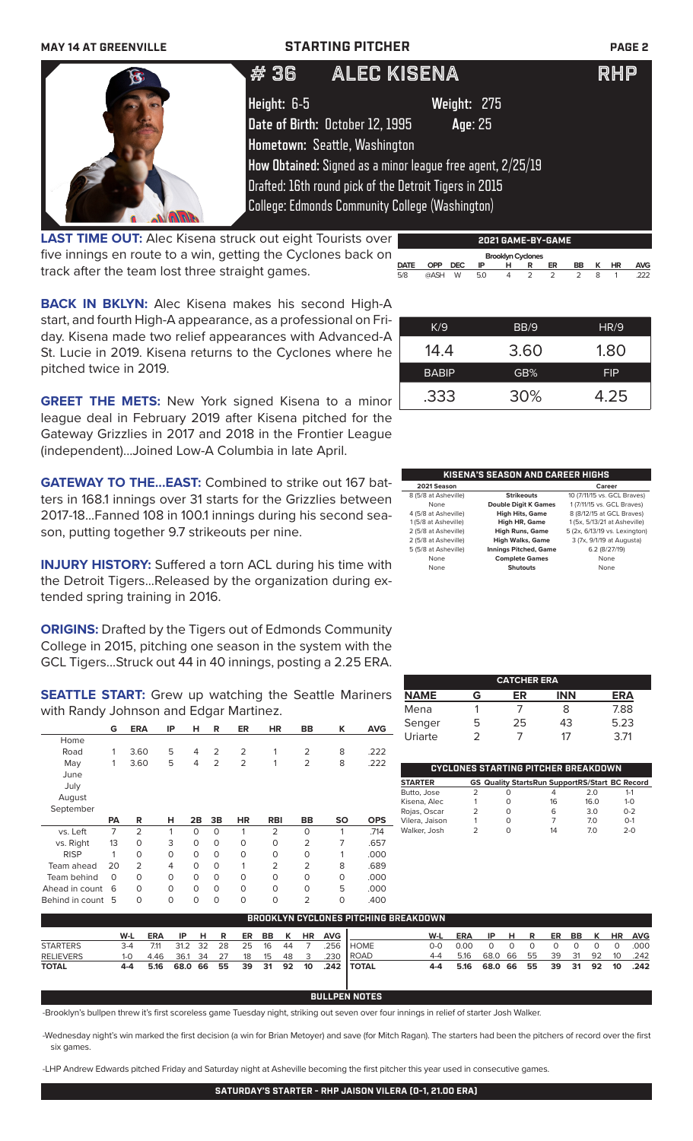| <b>MAY 14 AT GREENVILLE</b> | <b>STARTING PITCHER</b>         |                                                            | <b>PAGE 2</b> |
|-----------------------------|---------------------------------|------------------------------------------------------------|---------------|
|                             | #36                             | ALEC KISENA                                                | <b>RHP</b>    |
|                             | Height: 6-5                     | Weight: 275                                                |               |
|                             | Date of Birth: October 12, 1995 | Age: 25                                                    |               |
|                             | Hometown: Seattle, Washington   |                                                            |               |
|                             |                                 | How Obtained: Signed as a minor league free agent, 2/25/19 |               |
|                             |                                 | Drafted: 16th round pick of the Detroit Tigers in 2015     |               |
|                             |                                 | <b>College: Edmonds Community College (Washington)</b>     |               |

**LAST TIME OUT:** Alec Kisena struck out eight Tourists over five innings en route to a win, getting the Cyclones back on track after the team lost three straight games.

**BACK IN BKLYN:** Alec Kisena makes his second High-A start, and fourth High-A appearance, as a professional on Friday. Kisena made two relief appearances with Advanced-A St. Lucie in 2019. Kisena returns to the Cyclones where he pitched twice in 2019.

**GREET THE METS:** New York signed Kisena to a minor league deal in February 2019 after Kisena pitched for the Gateway Grizzlies in 2017 and 2018 in the Frontier League (independent)...Joined Low-A Columbia in late April.

**GATEWAY TO THE...EAST:** Combined to strike out 167 batters in 168.1 innings over 31 starts for the Grizzlies between 2017-18...Fanned 108 in 100.1 innings during his second season, putting together 9.7 strikeouts per nine.

**INJURY HISTORY:** Suffered a torn ACL during his time with the Detroit Tigers...Released by the organization during extended spring training in 2016.

**ORIGINS:** Drafted by the Tigers out of Edmonds Community College in 2015, pitching one season in the system with the GCL Tigers...Struck out 44 in 40 innings, posting a 2.25 ERA.

**SEATTLE START:** Grew up watching the Seattle Mariners with Randy Johnson and Edgar Martinez.

|                | G              | <b>ERA</b>     | ΙP       | н        | R              | <b>ER</b>      | <b>HR</b>      | <b>BB</b>      | ĸ         | <b>AVG</b> |
|----------------|----------------|----------------|----------|----------|----------------|----------------|----------------|----------------|-----------|------------|
| Home           |                |                |          |          |                |                |                |                |           |            |
| Road           | 1              | 3.60           | 5        | 4        | $\overline{2}$ | $\overline{2}$ | 1              | $\overline{2}$ | 8         | .222       |
| May            | 1              | 3.60           | 5        | 4        | $\overline{2}$ | $\overline{2}$ | 1              | $\overline{2}$ | 8         | .222       |
| June           |                |                |          |          |                |                |                |                |           |            |
| July           |                |                |          |          |                |                |                |                |           |            |
| August         |                |                |          |          |                |                |                |                |           |            |
| September      |                |                |          |          |                |                |                |                |           |            |
|                |                |                |          |          |                |                |                |                |           |            |
|                | PА             | R              | н        | 2B       | 3B             | <b>HR</b>      | <b>RBI</b>     | BB             | <b>SO</b> | <b>OPS</b> |
| vs. Left       | $\overline{7}$ | $\overline{2}$ | 1        | $\Omega$ | $\Omega$       | 1              | 2              | $\Omega$       | 1         | .714       |
| vs. Right      | 13             | $\Omega$       | 3        | $\Omega$ | $\Omega$       | $\Omega$       | 0              | $\overline{2}$ | 7         | .657       |
| <b>RISP</b>    | 1              | $\Omega$       | $\Omega$ | $\Omega$ | $\Omega$       | $\Omega$       | 0              | $\Omega$       | 1         | .000       |
| Team ahead     | 20             | $\overline{2}$ | 4        | O        | $\Omega$       | 1              | $\overline{2}$ | $\overline{2}$ | 8         | .689       |
| Team behind    | $\Omega$       | 0              | $\circ$  | $\Omega$ | $\Omega$       | $\Omega$       | 0              | $\Omega$       | $\circ$   | .000       |
| Ahead in count | 6              | O              | $\Omega$ | $\Omega$ | $\Omega$       | $\Omega$       | 0              | $\Omega$       | 5         | .000       |

| K/9          | BB/9 | HR/9       |
|--------------|------|------------|
| 14.4         | 3.60 | 1.80       |
| <b>BABIP</b> | GB%  | <b>FIP</b> |
| .333         | 30%  | 4.25       |

**2021 GAME-BY-GAME**

**DATE OPP DEC IP H R ER BB K HR AVG** 5/8 @ASH W 5.0 4 2 2 2 8 1 .222

 **Brooklyn Cyclones** 

| <b>KISENA'S SEASON AND CAREER HIGHS</b> |                              |                               |  |  |  |  |  |  |
|-----------------------------------------|------------------------------|-------------------------------|--|--|--|--|--|--|
| 2021 Season                             |                              | Career                        |  |  |  |  |  |  |
| 8 (5/8 at Asheville)                    | <b>Strikeouts</b>            | 10 (7/11/15 vs. GCL Braves)   |  |  |  |  |  |  |
| None                                    | <b>Double Digit K Games</b>  | 1 (7/11/15 vs. GCL Braves)    |  |  |  |  |  |  |
| 4 (5/8 at Asheville)                    | <b>High Hits, Game</b>       | 8 (8/12/15 at GCL Braves)     |  |  |  |  |  |  |
| 1 (5/8 at Asheville)                    | High HR, Game                | 1 (5x, 5/13/21 at Asheville)  |  |  |  |  |  |  |
| 2 (5/8 at Asheville)                    | <b>High Runs, Game</b>       | 5 (2x, 6/13/19 vs. Lexington) |  |  |  |  |  |  |
| 2 (5/8 at Asheville)                    | <b>High Walks, Game</b>      | 3 (7x, 9/1/19 at Augusta)     |  |  |  |  |  |  |
| 5 (5/8 at Asheville)                    | <b>Innings Pitched, Game</b> | 6.2 (8/27/19)                 |  |  |  |  |  |  |
| None                                    | <b>Complete Games</b>        | None                          |  |  |  |  |  |  |
| None                                    | <b>Shutouts</b>              | None                          |  |  |  |  |  |  |

| <b>CATCHER ERA</b> |   |    |            |      |  |  |  |  |  |
|--------------------|---|----|------------|------|--|--|--|--|--|
| <b>NAME</b>        | G | ER | <b>INN</b> | ERA  |  |  |  |  |  |
| Mena               |   |    | 8          | 7.88 |  |  |  |  |  |
| Senger             | 5 | 25 | 43         | 5.23 |  |  |  |  |  |
| Uriarte            | っ |    | 17         | 3.71 |  |  |  |  |  |

| CYCLONES STARTING PITCHER BREAKDOWN |  |   |                                                       |                 |         |  |  |  |  |  |
|-------------------------------------|--|---|-------------------------------------------------------|-----------------|---------|--|--|--|--|--|
| <b>STARTER</b>                      |  |   | <b>GS Quality StartsRun SupportRS/Start BC Record</b> |                 |         |  |  |  |  |  |
| Butto, Jose                         |  | O | 4                                                     | 2 O             | $1 - 1$ |  |  |  |  |  |
| Kisena, Alec                        |  | Ω | 16                                                    | 16 <sub>0</sub> | $1 - 0$ |  |  |  |  |  |
| Rojas, Oscar                        |  | Ω | 6                                                     | 3.0             | $0 - 2$ |  |  |  |  |  |
| Vilera, Jaison                      |  | Ω |                                                       | 70              | $O-1$   |  |  |  |  |  |
| Walker, Josh                        |  | Ω | 14                                                    | 70              | $2 - 0$ |  |  |  |  |  |

| BROOKLYN CYCLONES PITCHING BREAKDOWN |         |            |         |      |    |    |      |    |                         |            |               |            |            |            |      |    |          |          |    |           |            |
|--------------------------------------|---------|------------|---------|------|----|----|------|----|-------------------------|------------|---------------|------------|------------|------------|------|----|----------|----------|----|-----------|------------|
|                                      | W-L     | <b>ERA</b> | IP.     | H R  |    | ER | BB   | K  | <b>HR</b>               | <b>AVG</b> |               | W-L        | <b>ERA</b> | IP HR      |      |    |          | ER BB K  |    | <b>HR</b> | <b>AVG</b> |
| <b>STARTERS</b>                      | $3 - 4$ | 7.11       | 31.2    | - 32 | 28 | 25 | 16   | 44 |                         | 256        | <b>HOME</b>   | <u>ດ-ດ</u> | n nn       | $\cap$     |      |    |          | $\Omega$ |    | $\Omega$  | .000       |
| <b>RELIEVERS</b>                     | $1 - 0$ | 4.46       | 36.1    | - 34 | 27 | 18 | 15   | 48 | $\overline{\mathbf{3}}$ | .230       | <b>I ROAD</b> |            | 5.16       | 68.0       | - 66 | 55 | 39       | - 31     | 92 | 10        | .242       |
| <b>TOTAL</b>                         | 4-4     | 5.16       | 68.0 66 |      | 55 | 39 | - 31 | 92 | 10                      |            | .242   TOTAL  | 4-4        | 5.16       | 68.0 66 55 |      |    | 39 31 92 |          |    | 10        | .242       |

### **BULLPEN NOTES**

-Brooklyn's bullpen threw it's first scoreless game Tuesday night, striking out seven over four innings in relief of starter Josh Walker.

-Wednesday night's win marked the first decision (a win for Brian Metoyer) and save (for Mitch Ragan). The starters had been the pitchers of record over the first six games.

-LHP Andrew Edwards pitched Friday and Saturday night at Asheville becoming the first pitcher this year used in consecutive games.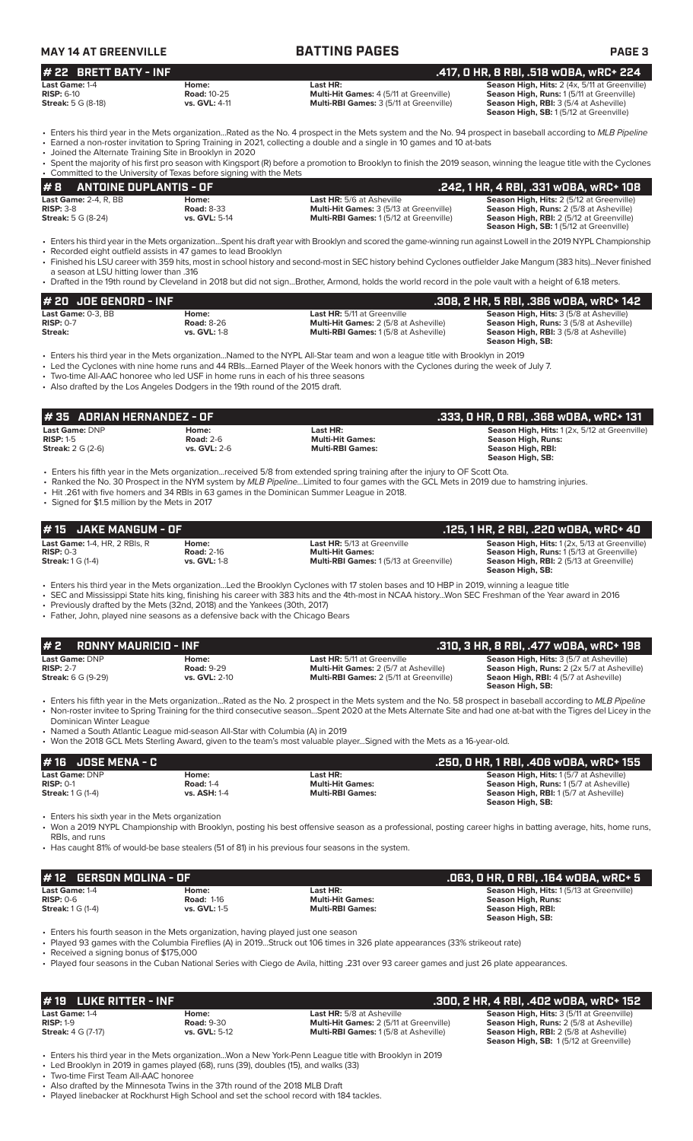| <b>MAY 14 AT GREENVILLE</b> |                    | <b>BATTING PAGES</b>                           | <b>PAGE 3</b>                                        |
|-----------------------------|--------------------|------------------------------------------------|------------------------------------------------------|
| $#$ 22 BRETT BATY - INF     |                    |                                                | .417, 0 HR, 8 RBI, .518 wOBA, wRC+ 224 ,             |
| Last Game: 1-4              | Home:              | Last HR:                                       | <b>Season High, Hits: 2 (4x, 5/11 at Greenville)</b> |
| $RISP: 6-10$                | <b>Road: 10-25</b> | <b>Multi-Hit Games: 4 (5/11 at Greenville)</b> | <b>Season High, Runs: 1(5/11 at Greenville)</b>      |

**Streak:** 5 G (8-18) **vs. GVL:** 4-11 **Multi-RBI Games:** 3 (5/11 at Greenville) **Season High, RBI:** 3 (5/4 at Asheville)

**Season High, SB:** 1 (5/12 at Greenville)

• Enters his third year in the Mets organization...Rated as the No. 4 prospect in the Mets system and the No. 94 prospect in baseball according to *MLB Pipeline* • Earned a non-roster invitation to Spring Training in 2021, collecting a double and a single in 10 games and 10 at-bats

• Joined the Alternate Training Site in Brooklyn in 2020

| $\#$ 8 ANTOINE DUPLANTIS - OF                                       | .242. 1 HR. 4 RBI. .331 wOBA. wRC+ 108                                                                                                                               |
|---------------------------------------------------------------------|----------------------------------------------------------------------------------------------------------------------------------------------------------------------|
| • Committed to the University of Texas before signing with the Mets |                                                                                                                                                                      |
|                                                                     | • Spent the majority of his first pro season with Kingsport (R) before a promotion to Brooklyn to finish the 2019 season, winning the league title with the Cyclones |
|                                                                     |                                                                                                                                                                      |

| 17 S ANNI SINE SSI EAN I IS SI |                      |                                                | $1 = 1 = 1$                                      |
|--------------------------------|----------------------|------------------------------------------------|--------------------------------------------------|
| <b>Last Game: 2-4, R, BB</b>   | Home:                | <b>Last HR:</b> 5/6 at Asheville               | <b>Season High, Hits: 2 (5/12 at Greenville)</b> |
| $RISP: 3-8$                    | <b>Road: 8-33</b>    | <b>Multi-Hit Games: 3 (5/13 at Greenville)</b> | <b>Season High, Runs: 2 (5/8 at Asheville)</b>   |
| <b>Streak:</b> 5 G (8-24)      | <b>vs. GVL: 5-14</b> | <b>Multi-RBI Games: 1(5/12 at Greenville)</b>  | <b>Season High, RBI:</b> 2 (5/12 at Greenville)  |
|                                |                      |                                                | <b>Season High, SB: 1(5/12 at Greenville)</b>    |

• Enters his third year in the Mets organization...Spent his draft year with Brooklyn and scored the game-winning run against Lowell in the 2019 NYPL Championship

• Recorded eight outfield assists in 47 games to lead Brooklyn<br>• Recorded eight outfield assists in 47 games to lead Brooklyn • Finished his LSU career with 359 hits, most in school history and second-most in SEC history behind Cyclones outfielder Jake Mangum (383 hits)...Never finished

a season at LSU hitting lower than .316 • Drafted in the 19th round by Cleveland in 2018 but did not sign...Brother, Armond, holds the world record in the pole vault with a height of 6.18 meters.

| $#$ 20 JOE GENORD - INF           |                            |                                                                                    | .308, 2 HR, 5 RBI, .386 w0BA, wRC+ 142                                                           |
|-----------------------------------|----------------------------|------------------------------------------------------------------------------------|--------------------------------------------------------------------------------------------------|
| Last Game: 0-3. BB<br>$RISP: 0-7$ | Home:<br><b>Road: 8-26</b> | <b>Last HR:</b> 5/11 at Greenville<br><b>Multi-Hit Games: 2 (5/8 at Asheville)</b> | <b>Season High, Hits: 3 (5/8 at Asheville)</b><br><b>Season High, Runs:</b> 3 (5/8 at Asheville) |
| Streak:                           | <b>vs. GVL: 1-8</b>        | <b>Multi-RBI Games: 1(5/8 at Asheville)</b>                                        | <b>Season High, RBI:</b> 3 (5/8 at Asheville)                                                    |
|                                   |                            |                                                                                    | Season High, SB:                                                                                 |

• Enters his third year in the Mets organization...Named to the NYPL All-Star team and won a league title with Brooklyn in 2019

• Led the Cyclones with nine home runs and 44 RBIs...Earned Player of the Week honors with the Cyclones during the week of July 7.

• Two-time All-AAC honoree who led USF in home runs in each of his three seasons

• Also drafted by the Los Angeles Dodgers in the 19th round of the 2015 draft.

| l # 35   ADRIAN HERNANDEZ - OF<br>. .333, O HR, O RBI, .368 wOBA, wRC+ 131 ' |                                                  |                                                                                                                                                                                                                                                                           |                                                                                                              |  |  |  |  |  |
|------------------------------------------------------------------------------|--------------------------------------------------|---------------------------------------------------------------------------------------------------------------------------------------------------------------------------------------------------------------------------------------------------------------------------|--------------------------------------------------------------------------------------------------------------|--|--|--|--|--|
| Last Game: DNP<br>$RISP: 1-5$<br><b>Streak:</b> $2 G (2-6)$                  | Home:<br><b>Road: 2-6</b><br><b>vs. GVL: 2-6</b> | Last HR:<br><b>Multi-Hit Games:</b><br><b>Multi-RBI Games:</b>                                                                                                                                                                                                            | Season High, Hits: 1 (2x, 5/12 at Greenville)<br>Season High, Runs:<br>Season High, RBI:<br>Season High, SB: |  |  |  |  |  |
|                                                                              |                                                  | . Enters his fifth year in the Mets organizationreceived 5/8 from extended spring training after the injury to OF Scott Ota.<br>• Ranked the No. 30 Prospect in the NYM system by MLB Pipeline. Limited to four games with the GCL Mets in 2019 due to hamstring injuries |                                                                                                              |  |  |  |  |  |

• Ranked the No. 30 Prospect in the NYM system by *MLB Pipeline...*Limited to four games with the GCL Mets in 2019 due to hamstring injuries.

• Hit .261 with five homers and 34 RBIs in 63 games in the Dominican Summer League in 2018.

• Signed for \$1.5 million by the Mets in 2017

| <b>JAKE MANGUM - OF</b><br># 15                                                                                                                              |                                                   |                                                                                                                                                                                                                                                                                                                                                                                                                                                             | .125, 1 HR, 2 RBI, .220 WOBA, WRC+ 40                                                                                                                      |
|--------------------------------------------------------------------------------------------------------------------------------------------------------------|---------------------------------------------------|-------------------------------------------------------------------------------------------------------------------------------------------------------------------------------------------------------------------------------------------------------------------------------------------------------------------------------------------------------------------------------------------------------------------------------------------------------------|------------------------------------------------------------------------------------------------------------------------------------------------------------|
| Last Game: 1-4, HR, 2 RBIs, R<br>$RISP: 0-3$<br><b>Streak:</b> 1 G (1-4)                                                                                     | Home:<br><b>Road: 2-16</b><br><b>vs. GVL: 1-8</b> | Last HR: 5/13 at Greenville<br><b>Multi-Hit Games:</b><br>Multi-RBI Games: 1 (5/13 at Greenville)                                                                                                                                                                                                                                                                                                                                                           | Season High, Hits: 1 (2x, 5/13 at Greenville)<br>Season High, Runs: 1 (5/13 at Greenville)<br>Season High, RBI: 2 (5/13 at Greenville)<br>Season High, SB: |
| • Previously drafted by the Mets (32nd, 2018) and the Yankees (30th, 2017)<br>• Father, John, played nine seasons as a defensive back with the Chicago Bears |                                                   | • Enters his third year in the Mets organization…Led the Brooklyn Cyclones with 17 stolen bases and 10 HBP in 2019, winning a league title<br>• SEC and Mississippi State hits king, finishing his career with 383 hits and the 4th-most in NCAA historyWon SEC Freshman of the Year award in 2016                                                                                                                                                          |                                                                                                                                                            |
| #2<br><b>RONNY MAURICIO - INF</b>                                                                                                                            |                                                   |                                                                                                                                                                                                                                                                                                                                                                                                                                                             | .310, 3 HR, 8 RBI, .477 wOBA, wRC+ 198                                                                                                                     |
| Last Game: DNP<br><b>RISP: 2-7</b><br><b>Streak:</b> 6 G (9-29)                                                                                              | Home:<br><b>Road: 9-29</b><br>vs. GVL: 2-10       | Last HR: 5/11 at Greenville<br>Multi-Hit Games: 2 (5/7 at Asheville)<br>Multi-RBI Games: 2 (5/11 at Greenville)                                                                                                                                                                                                                                                                                                                                             | Season High, Hits: 3 (5/7 at Asheville)<br>Season High, Runs: 2 (2x 5/7 at Asheville)<br>Seaon High, RBI: 4 (5/7 at Asheville)<br>Season High, SB:         |
| Dominican Winter League<br>• Named a South Atlantic League mid-season All-Star with Columbia (A) in 2019                                                     |                                                   | • Enters his fifth year in the Mets organizationRated as the No. 2 prospect in the Mets system and the No. 58 prospect in baseball according to MLB Pipeline<br>• Non-roster invitee to Spring Training for the third consecutive seasonSpent 2020 at the Mets Alternate Site and had one at-bat with the Tigres del Licey in the<br>• Won the 2018 GCL Mets Sterling Award, given to the team's most valuable playerSigned with the Mets as a 16-year-old. |                                                                                                                                                            |
| <b>JOSE MENA - C</b><br># 16                                                                                                                                 |                                                   |                                                                                                                                                                                                                                                                                                                                                                                                                                                             | .250, 0 HR, 1 RBI, .406 w0BA, wRC+ 155                                                                                                                     |
| Last Game: DNP<br><b>RISP: 0-1</b><br><b>Streak:</b> 1 G (1-4)                                                                                               | Home:<br><b>Road: 1-4</b><br>vs. ASH: 1-4         | Last HR:<br><b>Multi-Hit Games:</b><br><b>Multi-RBI Games:</b>                                                                                                                                                                                                                                                                                                                                                                                              | Season High, Hits: 1 (5/7 at Asheville)<br>Season High, Runs: 1 (5/7 at Asheville)<br>Season High, RBI: 1 (5/7 at Asheville)<br>Season High, SB:           |
| • Enters his sixth year in the Mets organization<br>RBIs, and runs                                                                                           |                                                   | • Won a 2019 NYPL Championship with Brooklyn, posting his best offensive season as a professional, posting career highs in batting average, hits, home runs,                                                                                                                                                                                                                                                                                                |                                                                                                                                                            |
|                                                                                                                                                              |                                                   | Has caught 81% of would-be base stealers (51 of 81) in his previous four seasons in the system.                                                                                                                                                                                                                                                                                                                                                             |                                                                                                                                                            |
| <b>GERSON MOLINA - OF</b><br># 12                                                                                                                            |                                                   |                                                                                                                                                                                                                                                                                                                                                                                                                                                             | .063, 0 HR, 0 RBI, .164 w0BA, wRC+ 5                                                                                                                       |
| Last Game: $1-4$<br><b>RISP: 0-6</b><br><b>Streak:</b> 1 G (1-4)                                                                                             | Home:<br><b>Road: 1-16</b><br>vs. GVL: 1-5        | Last HR:<br><b>Multi-Hit Games:</b><br><b>Multi-RBI Games:</b>                                                                                                                                                                                                                                                                                                                                                                                              | Season High, Hits: 1(5/13 at Greenville)<br><b>Season High, Runs:</b><br>Season High, RBI:<br>Season High, SB:                                             |
| • Enters his fourth season in the Mets organization, having played just one season<br>• Received a signing bonus of \$175,000                                |                                                   | • Played 93 games with the Columbia Fireflies (A) in 2019Struck out 106 times in 326 plate appearances (33% strikeout rate)<br>• Played four seasons in the Cuban National Series with Ciego de Avila, hitting .231 over 93 career games and just 26 plate appearances.                                                                                                                                                                                     |                                                                                                                                                            |
|                                                                                                                                                              |                                                   |                                                                                                                                                                                                                                                                                                                                                                                                                                                             |                                                                                                                                                            |

| l# 19 LUKE RITTER - INF                                           |                                             |                                                                                                                                   | . .300, 2 HR, 4 RBI, .402 w0BA, wRC+ 152                                                                                                                                                             |
|-------------------------------------------------------------------|---------------------------------------------|-----------------------------------------------------------------------------------------------------------------------------------|------------------------------------------------------------------------------------------------------------------------------------------------------------------------------------------------------|
| <b>Last Game: 1-4</b><br>$RISP: 1-9$<br><b>Streak:</b> 4 G (7-17) | Home:<br><b>Road: 9-30</b><br>vs. GVL: 5-12 | <b>Last HR:</b> 5/8 at Asheville<br><b>Multi-Hit Games: 2 (5/11 at Greenville)</b><br><b>Multi-RBI Games: 1(5/8 at Asheville)</b> | <b>Season High, Hits: 3 (5/11 at Greenville)</b><br><b>Season High, Runs: 2 (5/8 at Asheville)</b><br><b>Season High, RBI:</b> 2 (5/8 at Asheville)<br><b>Season High, SB: 1(5/12 at Greenville)</b> |

• Enters his third year in the Mets organization...Won a New York-Penn League title with Brooklyn in 2019 • Led Brooklyn in 2019 in games played (68), runs (39), doubles (15), and walks (33)

• Two-time First Team All-AAC honoree

• Also drafted by the Minnesota Twins in the 37th round of the 2018 MLB Draft

• Played linebacker at Rockhurst High School and set the school record with 184 tackles.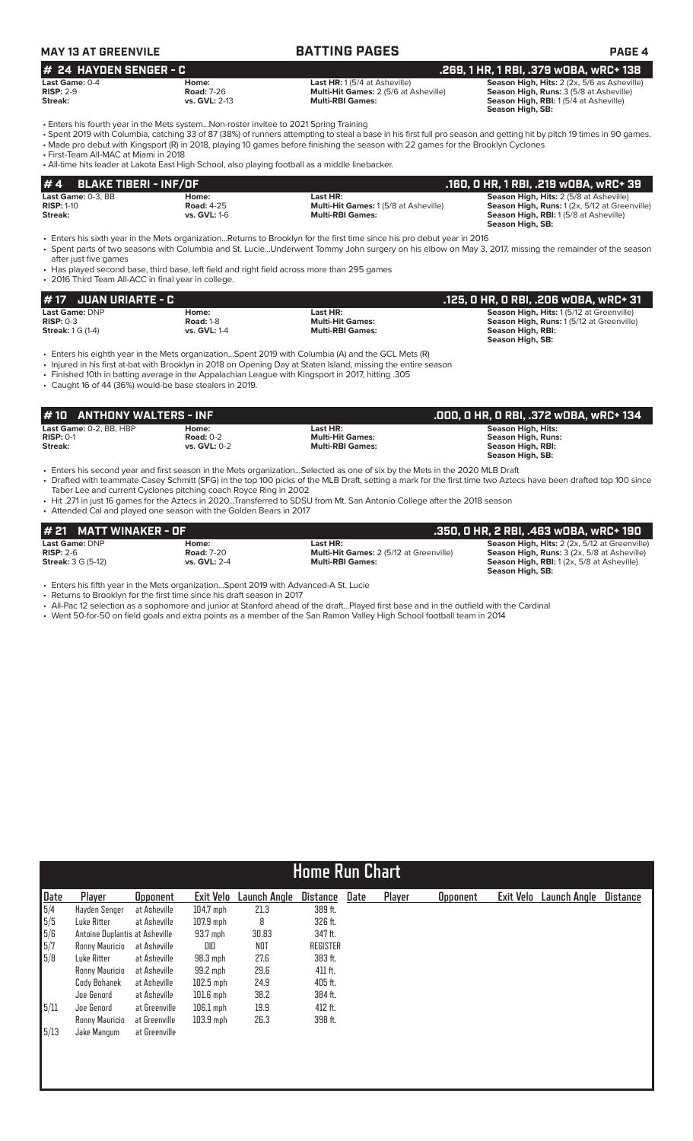| MAY 13 AT GREENVILE      |             | <b>BATTING PAGES</b>                               | <b>PAGE 4</b>                                      |
|--------------------------|-------------|----------------------------------------------------|----------------------------------------------------|
| $#$ 24 HAYDEN SENGER - C |             |                                                    | .269. 1 HR. 1 RBI. .379 WOBA. WRC+ 138             |
| <b>Last Game: 0-4</b>    | Home:       | <b>Last HR:</b> 1 $(5/4$ at Asheville)             | <b>Season High, Hits:</b> 2 (2x, 5/6 as Asheville) |
| DICD: $2Q$               | $Book 7.26$ | Multi $\mathbf{H}$ it Games: $2/5/6$ at Ashoville) | Sonson High Duns: 2 (5/9 of Achovillo)             |

| <b>Road: 7-26</b>    | <b>Multi-Hit Games:</b> 2 (5/6 at Asheville) | Season High, Runs: 3 (5/8 at Asheville)      |
|----------------------|----------------------------------------------|----------------------------------------------|
| <b>vs. GVL: 2-13</b> | <b>Multi-RBI Games:</b>                      | <b>Season High, RBI:</b> 1(5/4 at Asheville) |
|                      |                                              | Season High, SB:                             |
|                      |                                              |                                              |

**Season High, RBI:** 1 (5/4 at Asheville) **Season High, SB:** 

• Enters his fourth year in the Mets system...Non-roster invitee to 2021 Spring Training

• Spent 2019 with Columbia, catching 33 of 87 (38%) of runners attempting to steal a base in his first full pro season and getting hit by pitch 19 times in 90 games. • Made pro debut with Kingsport (R) in 2018, playing 10 games before finishing the season with 22 games for the Brooklyn Cyclones

• First-Team All-MAC at Miami in 2018

• All-time hits leader at Lakota East High School, also playing football as a middle linebacker.

| #4<br>BLAKE TIBERI - INF/OF |                     |                                              | .160, 0 HR, 1 RBI, .219 w0BA, wRC+ 39          |
|-----------------------------|---------------------|----------------------------------------------|------------------------------------------------|
| Last Game: 0-3. BB          | Home:               | Last HR:                                     | <b>Season High, Hits: 2 (5/8 at Asheville)</b> |
| <b>RISP: 1-10</b>           | <b>Road: 4-25</b>   | <b>Multi-Hit Games: 1 (5/8 at Asheville)</b> | Season High, Runs: 1(2x, 5/12 at Greenville)   |
| Streak:                     | <b>vs. GVL:</b> 1-6 | <b>Multi-RBI Games:</b>                      | <b>Season High, RBI:</b> 1(5/8 at Asheville)   |
|                             |                     |                                              | Season High, SB:                               |

• Enters his sixth year in the Mets organization...Returns to Brooklyn for the first time since his pro debut year in 2016 • Spent parts of two seasons with Columbia and St. Lucie...Underwent Tommy John surgery on his elbow on May 3, 2017, missing the remainder of the season after just five games

• Has played second base, third base, left field and right field across more than 295 games

• 2016 Third Team All-ACC in final year in college.

| $\#$ 17 JUAN URIARTE - C |                     |                         | . .125, O HR, O RBI, .206 wOBA, wRC+ 31'        |
|--------------------------|---------------------|-------------------------|-------------------------------------------------|
| Last Game: DNP           | Home:               | Last HR:                | <b>Season High, Hits: 1(5/12 at Greenville)</b> |
| $RISP: 0-3$              | <b>Road: 1-8</b>    | <b>Multi-Hit Games:</b> | <b>Season High, Runs: 1(5/12 at Greenville)</b> |
| <b>Streak: 1 G (1-4)</b> | <b>vs. GVL: 1-4</b> | <b>Multi-RBI Games:</b> | Season High, RBI:                               |
|                          |                     |                         | Season High, SB:                                |

• Enters his eighth year in the Mets organization...Spent 2019 with Columbia (A) and the GCL Mets (R)

• Injured in his first at-bat with Brooklyn in 2018 on Opening Day at Staten Island, missing the entire season

• Finished 10th in batting average in the Appalachian League with Kingsport in 2017, hitting .305

• Caught 16 of 44 (36%) would-be base stealers in 2019.

| #10 ANTHONY WALTERS - INF<br>.000, 0 HR, 0 RBI, .372 w0BA, wRC+ 134                                                                                                                                                                                            |  |
|----------------------------------------------------------------------------------------------------------------------------------------------------------------------------------------------------------------------------------------------------------------|--|
| Last Game: 0-2, BB, HBP<br>Last HR:<br><b>Season High, Hits:</b><br>Home:<br><b>Multi-Hit Games:</b><br>$RISP: 0-1$<br>Road: $0-2$<br>Season High, Runs:<br>Streak:<br><b>Multi-RBI Games:</b><br>Season High, RBI:<br><b>vs. GVL: 0-2</b><br>Season High, SB: |  |

• Enters his second year and first season in the Mets organization...Selected as one of six by the Mets in the 2020 MLB Draft • Drafted with teammate Casey Schmitt (SFG) in the top 100 picks of the MLB Draft, setting a mark for the first time two Aztecs have been drafted top 100 since Taber Lee and current Cyclones pitching coach Royce Ring in 2002

• Hit .271 in just 16 games for the Aztecs in 2020...Transferred to SDSU from Mt. San Antonio College after the 2018 season

• Attended Cal and played one season with the Golden Bears in 2017

| # 21 MATT WINAKER - OF               |                            |                                                            | .350. 0 HR. 2 RBI. .463 w0BA. wRC+ 190                                                                     |
|--------------------------------------|----------------------------|------------------------------------------------------------|------------------------------------------------------------------------------------------------------------|
| <b>Last Game: DNP</b><br>$RISP: 2-6$ | Home:<br><b>Road: 7-20</b> | Last HR:<br><b>Multi-Hit Games: 2 (5/12 at Greenville)</b> | <b>Season High, Hits: 2 (2x, 5/12 at Greenville)</b><br><b>Season High, Runs:</b> 3 (2x, 5/8 at Asheville) |
| <b>Streak: 3 G (5-12)</b>            | vs. $GVL: 2-4$             | <b>Multi-RBI Games:</b>                                    | <b>Season High, RBI:</b> 1(2x, 5/8 at Asheville)<br>Season High, SB:                                       |

• Enters his fifth year in the Mets organization...Spent 2019 with Advanced-A St. Lucie

• Returns to Brooklyn for the first time since his draft season in 2017

• All-Pac 12 selection as a sophomore and junior at Stanford ahead of the draft...Played first base and in the outfield with the Cardinal

• Went 50-for-50 on field goals and extra points as a member of the San Ramon Valley High School football team in 2014

|                                                                | <b>Home Run Chart</b>          |                 |             |              |                 |      |        |                 |           |                     |          |
|----------------------------------------------------------------|--------------------------------|-----------------|-------------|--------------|-----------------|------|--------|-----------------|-----------|---------------------|----------|
| Date                                                           | Player                         | <b>Opponent</b> | Exit Velo   | Launch Angle | <b>Distance</b> | Date | Player | <b>Opponent</b> | Exit Velo | <b>Launch Angle</b> | Distance |
|                                                                | Hayden Senger                  | at Asheville    | $104.7$ mph | 21.3         | 389 ft.         |      |        |                 |           |                     |          |
|                                                                | Luke Ritter                    | at Asheville    | $107.9$ mph | 8            | 326 ft.         |      |        |                 |           |                     |          |
|                                                                | Antoine Duplantis at Asheville |                 | 93.7 mph    | 30.83        | 347 ft.         |      |        |                 |           |                     |          |
| $\begin{array}{r} 5/4 \\ 5/5 \\ 5/6 \\ 5/7 \\ 5/8 \end{array}$ | Ronny Mauricio                 | at Asheville    | DID         | NOT          | <b>REGISTER</b> |      |        |                 |           |                     |          |
|                                                                | Luke Ritter                    | at Asheville    | $98.3$ mph  | 27.6         | 383 ft.         |      |        |                 |           |                     |          |
|                                                                | Ronny Mauricio                 | at Asheville    | 99.2 mph    | 29.6         | 411 ft.         |      |        |                 |           |                     |          |
|                                                                | Cody Bohanek                   | at Asheville    | $102.5$ mph | 24.9         | 405 ft.         |      |        |                 |           |                     |          |
|                                                                | Joe Genord                     | at Asheville    | $101.6$ mph | 38.2         | 384 ft.         |      |        |                 |           |                     |          |
| 5/11                                                           | Joe Genord                     | at Greenville   | $106.1$ mph | 19.9         | 412 ft.         |      |        |                 |           |                     |          |
|                                                                | Ronny Mauricio                 | at Greenville   | $103.9$ mph | 26.3         | 398 ft.         |      |        |                 |           |                     |          |
| 5/13                                                           | Jake Mangum                    | at Greenville   |             |              |                 |      |        |                 |           |                     |          |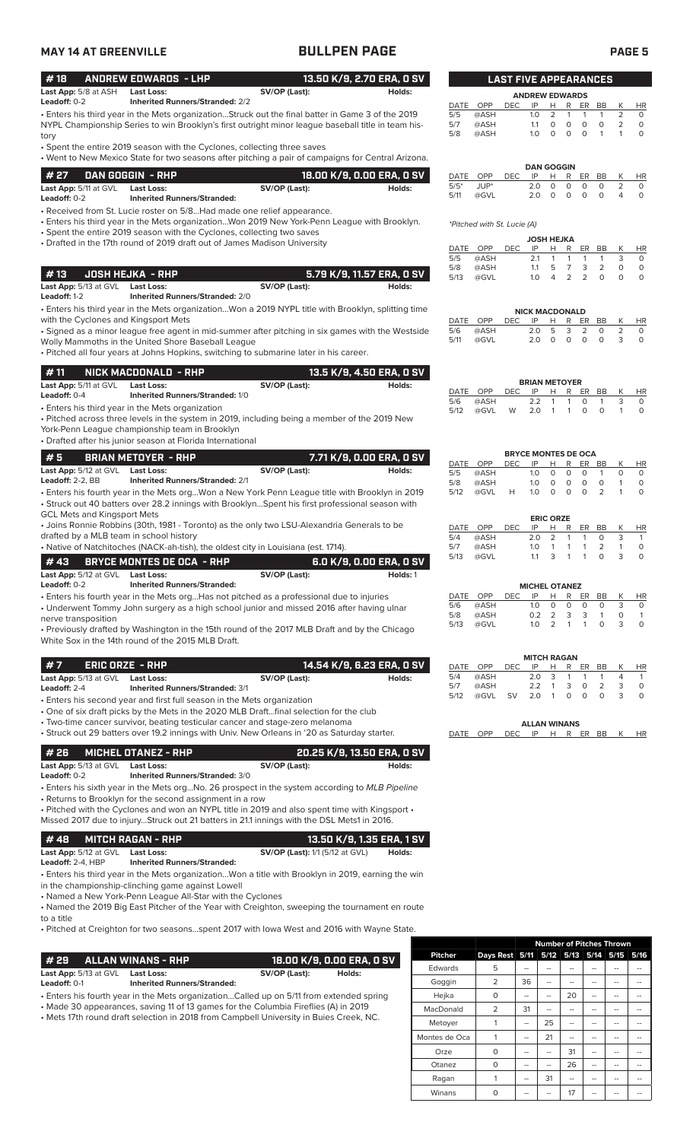# **MAY 14 AT GREENVILLE BULLPEN PAGE PAGE 5**

| #18                                     | <b>ANDREW EDWARDS - LHP</b>                                             |                                                                                                                                                                        | 13.50 K/9, 2.70 ERA, 0 SV  |             |                             | <b>LAST FIVE APPEARANCES</b> |                             |                       |                     |                              |                            |                |                      |
|-----------------------------------------|-------------------------------------------------------------------------|------------------------------------------------------------------------------------------------------------------------------------------------------------------------|----------------------------|-------------|-----------------------------|------------------------------|-----------------------------|-----------------------|---------------------|------------------------------|----------------------------|----------------|----------------------|
| Last App: 5/8 at ASH<br>Leadoff: $0-2$  | <b>Last Loss:</b><br><b>Inherited Runners/Stranded: 2/2</b>             | SV/OP (Last):                                                                                                                                                          | Holds:                     | DATE        | OPP                         | <b>DEC</b>                   | <b>ANDREW EDWARDS</b><br>IP | H                     | R                   | ER                           | BB                         | K              | HR                   |
|                                         |                                                                         | • Enters his third year in the Mets organizationStruck out the final batter in Game 3 of the 2019                                                                      |                            | 5/5         | @ASH                        |                              | 1.0                         | 2                     | $\mathbf{1}$        | $\mathbf{1}$                 | 1                          | 2              | 0                    |
|                                         |                                                                         | NYPL Championship Series to win Brooklyn's first outright minor league baseball title in team his-                                                                     |                            | 5/7<br>5/8  | @ASH<br>@ASH                |                              | 1.1<br>1.0                  | $\circ$<br>$\circ$    | $\circ$<br>$\circ$  | $\circ$<br>$\circ$           | $\circ$<br>$\mathbf{1}$    | 2<br>1         | $\circ$<br>$\Omega$  |
| tory                                    |                                                                         | • Spent the entire 2019 season with the Cyclones, collecting three saves                                                                                               |                            |             |                             |                              |                             |                       |                     |                              |                            |                |                      |
|                                         |                                                                         | . Went to New Mexico State for two seasons after pitching a pair of campaigns for Central Arizona.                                                                     |                            |             |                             |                              |                             |                       |                     |                              |                            |                |                      |
| # 27                                    | DAN GOGGIN - RHP                                                        |                                                                                                                                                                        | 18.00 K/9, 0.00 ERA, 0 SV  | DATE        | OPP                         | <b>DEC</b>                   | <b>DAN GOGGIN</b><br>IP     | н                     | R                   | ER                           | BB                         | К              | <b>HR</b>            |
| Last App: 5/11 at GVL                   | <b>Last Loss:</b>                                                       | SV/OP (Last):                                                                                                                                                          | Holds:                     | $5/5*$      | JUP*                        |                              | 2.0                         | $\circ$               | $\circ$             | $\circ$                      | $\circ$                    | 2              | $\circ$              |
| Leadoff: 0-2                            | <b>Inherited Runners/Stranded:</b>                                      |                                                                                                                                                                        |                            | 5/11        | @GVL                        |                              | 2.0                         | $\Omega$              | $\Omega$            | $\circ$                      | $\circ$                    | 4              | $\Omega$             |
|                                         |                                                                         | • Received from St. Lucie roster on 5/8Had made one relief appearance.                                                                                                 |                            |             |                             |                              |                             |                       |                     |                              |                            |                |                      |
|                                         |                                                                         | • Enters his third year in the Mets organizationWon 2019 New York-Penn League with Brooklyn.<br>• Spent the entire 2019 season with the Cyclones, collecting two saves |                            |             | *Pitched with St. Lucie (A) |                              |                             |                       |                     |                              |                            |                |                      |
|                                         |                                                                         | • Drafted in the 17th round of 2019 draft out of James Madison University                                                                                              |                            |             | DATE OPP                    | <b>DEC</b>                   | <b>JOSH HEJKA</b><br>IP     | H                     | R                   | ER                           | BB                         | К              | HR                   |
|                                         |                                                                         |                                                                                                                                                                        |                            | 5/5         | @ASH                        |                              | 2.1                         | $\mathbf{1}$          | $\mathbf{1}$        | $\mathbf{1}$                 | $\mathbf{1}$               | 3              | 0                    |
| #13                                     | <b>JOSH HEJKA - RHP</b>                                                 |                                                                                                                                                                        | 5.79 K/9, 11.57 ERA, 0 SV  | 5/8<br>5/13 | @ASH<br>@GVL                |                              | 1.1<br>1.0                  | 5<br>4                | $\overline{7}$<br>2 | 3<br>$\overline{2}$          | $\overline{2}$<br>$\circ$  | 0<br>$\circ$   | $\circ$<br>$\Omega$  |
| Last App: 5/13 at GVL Last Loss:        |                                                                         | SV/OP (Last):                                                                                                                                                          | Holds:                     |             |                             |                              |                             |                       |                     |                              |                            |                |                      |
| Leadoff: 1-2                            | <b>Inherited Runners/Stranded: 2/0</b>                                  |                                                                                                                                                                        |                            |             |                             |                              |                             |                       |                     |                              |                            |                |                      |
| with the Cyclones and Kingsport Mets    |                                                                         | • Enters his third year in the Mets organizationWon a 2019 NYPL title with Brooklyn, splitting time                                                                    |                            | DATE        | OPP                         | <b>DEC</b>                   | <b>NICK MACDONALD</b><br>IP | Н                     | R                   | ER                           | BB                         | K              | <b>HR</b>            |
|                                         |                                                                         | • Signed as a minor league free agent in mid-summer after pitching in six games with the Westside                                                                      |                            | 5/6         | @ASH                        |                              | 2.0                         | 5                     | 3                   | 2                            | $\circ$                    | $\overline{2}$ | $\circ$              |
|                                         | Wolly Mammoths in the United Shore Baseball League                      |                                                                                                                                                                        |                            | 5/11        | @GVL                        |                              | 2.0                         | $\circ$               | $\circ$             | $\circ$                      | $\circ$                    | 3              | $\circ$              |
|                                         |                                                                         | . Pitched all four years at Johns Hopkins, switching to submarine later in his career.                                                                                 |                            |             |                             |                              |                             |                       |                     |                              |                            |                |                      |
| #11                                     | NICK MACDONALD - RHP                                                    |                                                                                                                                                                        | 13.5 K/9, 4.50 ERA, 0 SV   |             |                             |                              |                             |                       |                     |                              |                            |                |                      |
| Last App: 5/11 at GVL                   | <b>Last Loss:</b>                                                       | SV/OP (Last):                                                                                                                                                          | Holds:                     | DATE        | OPP                         | <b>DEC</b>                   | <b>BRIAN METOYER</b><br>IP  | Н                     | R                   | <b>ER</b>                    | BB                         | К              |                      |
| Leadoff: 0-4                            | Inherited Runners/Stranded: 1/0                                         |                                                                                                                                                                        |                            | 5/6         | @ASH                        |                              | 2.2                         | 1                     | $\mathbf{1}$        | $\circ$                      | $\mathbf{1}$               | 3              | <b>HR</b><br>$\circ$ |
|                                         | • Enters his third year in the Mets organization                        | . Pitched across three levels in the system in 2019, including being a member of the 2019 New                                                                          |                            | 5/12        | @GVL                        | W                            | 2.0                         | $\mathbf{1}$          | 1                   | $\circ$                      | $\circ$                    | $\mathbf{1}$   | $\Omega$             |
|                                         | York-Penn League championship team in Brooklyn                          |                                                                                                                                                                        |                            |             |                             |                              |                             |                       |                     |                              |                            |                |                      |
|                                         | • Drafted after his junior season at Florida International              |                                                                                                                                                                        |                            |             |                             |                              |                             |                       |                     |                              |                            |                |                      |
| #5                                      | <b>BRIAN METOYER - RHP</b>                                              |                                                                                                                                                                        | 7.71 K/9, 0.00 ERA, 0 SV   |             |                             |                              | <b>BRYCE MONTES DE OCA</b>  |                       |                     |                              |                            |                |                      |
| Last App: 5/12 at GVL                   | <b>Last Loss:</b>                                                       | SV/OP (Last):                                                                                                                                                          | Holds:                     | 5/5         | DATE OPP<br>@ASH            | DEC                          | IP<br>1.0                   | Н<br>$\circ$          | R<br>0              | ER<br>$\circ$                | BB<br>$\mathbf{1}$         | Κ<br>$\circ$   | <b>HR</b><br>$\circ$ |
| Leadoff: 2-2, BB                        | <b>Inherited Runners/Stranded: 2/1</b>                                  |                                                                                                                                                                        |                            | 5/8         | @ASH                        |                              | 1.0                         | $\circ$               | $\circ$             | $\circ$                      | $\circ$                    | $\mathbf{1}$   | $\circ$              |
|                                         |                                                                         | • Enters his fourth year in the Mets orgWon a New York Penn League title with Brooklyn in 2019                                                                         |                            | 5/12        | @GVL                        | H                            | 1.0                         | $\circ$               | $\circ$             | $\Omega$                     | $\overline{2}$             | 1              | $\Omega$             |
| <b>GCL Mets and Kingsport Mets</b>      |                                                                         | · Struck out 40 batters over 28.2 innings with BrooklynSpent his first professional season with                                                                        |                            |             |                             |                              |                             |                       |                     |                              |                            |                |                      |
|                                         |                                                                         | • Joins Ronnie Robbins (30th, 1981 - Toronto) as the only two LSU-Alexandria Generals to be                                                                            |                            | <b>DATE</b> | OPP                         | <b>DEC</b>                   | IP                          | <b>ERIC ORZE</b><br>н | R                   | ER                           | BB                         | Κ              | <b>HR</b>            |
| drafted by a MLB team in school history |                                                                         |                                                                                                                                                                        |                            | 5/4         | @ASH                        |                              | 2.0                         | $\overline{2}$        | $\mathbf{1}$        | $\mathbf{1}$                 | $\circ$                    | 3              | $\mathbf{1}$         |
|                                         |                                                                         | • Native of Natchitoches (NACK-ah-tish), the oldest city in Louisiana (est. 1714).                                                                                     |                            | 5/7<br>5/13 | @ASH<br>@GVL                |                              | 1.0<br>1.1                  | $\mathbf{1}$<br>3     | 1<br>$\mathbf{1}$   | $\mathbf{1}$<br>$\mathbf{1}$ | $\overline{2}$<br>$\Omega$ | 1<br>3         | $\circ$<br>$\Omega$  |
| #43                                     | <b>BRYCE MONTES DE OCA - RHP</b>                                        |                                                                                                                                                                        | 6.0 K/9, 0.00 ERA, 0 SV    |             |                             |                              |                             |                       |                     |                              |                            |                |                      |
| Last App: 5/12 at GVL<br>Leadoff: 0-2   | Last Loss:<br><b>Inherited Runners/Stranded:</b>                        | SV/OP (Last):                                                                                                                                                          | Holds: 1                   |             |                             |                              | <b>MICHEL OTANEZ</b>        |                       |                     |                              |                            |                |                      |
|                                         |                                                                         | • Enters his fourth year in the Mets orgHas not pitched as a professional due to injuries                                                                              |                            |             | DATE OPP                    | <b>DEC</b>                   | IP                          | Н                     | R                   | ER                           | BB                         | К              | HR                   |
|                                         |                                                                         | • Underwent Tommy John surgery as a high school junior and missed 2016 after having ulnar                                                                              |                            | 5/6<br>5/8  | @ASH<br>@ASH                |                              | 1.0<br>0.2                  | 0<br>2                | 0<br>3              | 0<br>3                       | 0<br>$\mathbf{1}$          | 3<br>0         | 0<br>$\mathbf{1}$    |
| nerve transposition                     |                                                                         | • Previously drafted by Washington in the 15th round of the 2017 MLB Draft and by the Chicago                                                                          |                            | 5/13        | @GVL                        |                              | 1.0                         | 2                     | $\mathbf{1}$        | $\mathbf{1}$                 | $\circ$                    | 3              | $\circ$              |
|                                         | White Sox in the 14th round of the 2015 MLB Draft.                      |                                                                                                                                                                        |                            |             |                             |                              |                             |                       |                     |                              |                            |                |                      |
|                                         |                                                                         |                                                                                                                                                                        |                            |             |                             |                              | <b>MITCH RAGAN</b>          |                       |                     |                              |                            |                |                      |
| #7                                      | <b>ERIC ORZE - RHP</b>                                                  |                                                                                                                                                                        | 14.54 K/9, 6.23 ERA, 0 SV  |             | DATE OPP                    | <b>DEC</b>                   | IP                          | Н                     | R                   | ER                           | BB                         | К              | HR                   |
| Last App: 5/13 at GVL                   | <b>Last Loss:</b><br><b>Inherited Runners/Stranded: 3/1</b>             | SV/OP (Last):                                                                                                                                                          | Holds:                     | 5/4<br>5/7  | @ASH<br>@ASH                |                              | 2.0<br>2.2                  | 3<br>$\overline{1}$   | 1<br>3              | 1<br>$\circ$                 | 1<br>$\overline{2}$        | 4<br>3         | $\mathbf{1}$<br>0    |
| Leadoff: 2-4                            | • Enters his second year and first full season in the Mets organization |                                                                                                                                                                        |                            | 5/12        | @GVL                        | <b>SV</b>                    | 2.0                         | $\overline{1}$        | $\circ$             | $\circ$                      | $\circ$                    | 3              | $\circ$              |
|                                         |                                                                         | • One of six draft picks by the Mets in the 2020 MLB Draftfinal selection for the club                                                                                 |                            |             |                             |                              |                             |                       |                     |                              |                            |                |                      |
|                                         |                                                                         | • Two-time cancer survivor, beating testicular cancer and stage-zero melanoma                                                                                          |                            |             |                             |                              | <b>ALLAN WINANS</b>         |                       |                     |                              |                            |                |                      |
|                                         |                                                                         | • Struck out 29 batters over 19.2 innings with Univ. New Orleans in '20 as Saturday starter.                                                                           |                            | DATE        | OPP                         | <b>DEC</b>                   | IP                          |                       | H R ER BB           |                              |                            | K              | HR                   |
| #26                                     | <b>MICHEL OTANEZ - RHP</b>                                              |                                                                                                                                                                        | 20.25 K/9, 13.50 ERA, 0 SV |             |                             |                              |                             |                       |                     |                              |                            |                |                      |
| Last App: 5/13 at GVL                   | <b>Last Loss:</b>                                                       | SV/OP (Last):                                                                                                                                                          | Holds:                     |             |                             |                              |                             |                       |                     |                              |                            |                |                      |
| Leadoff: $0-2$                          | <b>Inherited Runners/Stranded: 3/0</b>                                  |                                                                                                                                                                        |                            |             |                             |                              |                             |                       |                     |                              |                            |                |                      |
|                                         | • Returns to Brooklyn for the second assignment in a row                | • Enters his sixth year in the Mets orgNo. 26 prospect in the system according to MLB Pipeline                                                                         |                            |             |                             |                              |                             |                       |                     |                              |                            |                |                      |
|                                         |                                                                         | . Pitched with the Cyclones and won an NYPL title in 2019 and also spent time with Kingsport .                                                                         |                            |             |                             |                              |                             |                       |                     |                              |                            |                |                      |
|                                         |                                                                         | Missed 2017 due to injuryStruck out 21 batters in 21.1 innings with the DSL Mets1 in 2016.                                                                             |                            |             |                             |                              |                             |                       |                     |                              |                            |                |                      |
| #48                                     | <b>MITCH RAGAN - RHP</b>                                                |                                                                                                                                                                        | 13.50 K/9, 1.35 ERA, 1 SV  |             |                             |                              |                             |                       |                     |                              |                            |                |                      |
| Last App: 5/12 at GVL Last Loss:        |                                                                         | <b>SV/OP (Last):</b> 1/1 (5/12 at GVL)                                                                                                                                 | Holds:                     |             |                             |                              |                             |                       |                     |                              |                            |                |                      |
| Leadoff: 2-4, HBP                       | <b>Inherited Runners/Stranded:</b>                                      |                                                                                                                                                                        |                            |             |                             |                              |                             |                       |                     |                              |                            |                |                      |
|                                         |                                                                         | Enters his third year in the Mets organizationWon a title with Brooklyn in 2019, earning the win                                                                       |                            |             |                             |                              |                             |                       |                     |                              |                            |                |                      |
|                                         | in the championship-clinching game against Lowell                       |                                                                                                                                                                        |                            |             |                             |                              |                             |                       |                     |                              |                            |                |                      |
|                                         | • Named a New York-Penn League All-Star with the Cyclones               | • Named the 2019 Big East Pitcher of the Year with Creighton, sweeping the tournament en route                                                                         |                            |             |                             |                              |                             |                       |                     |                              |                            |                |                      |
| to a title                              |                                                                         |                                                                                                                                                                        |                            |             |                             |                              |                             |                       |                     |                              |                            |                |                      |
|                                         |                                                                         | • Pitched at Creighton for two seasonsspent 2017 with lowa West and 2016 with Wayne State.                                                                             |                            |             |                             |                              |                             |                       |                     |                              |                            |                |                      |

| # 29                                                                                    | <b>ALLAN WINANS - RHP</b>          |               | 18.00 K/9. 0.00 ERA. 0 SV |  |  |  |  |
|-----------------------------------------------------------------------------------------|------------------------------------|---------------|---------------------------|--|--|--|--|
| <b>Last App:</b> 5/13 at GVL                                                            | <b>Last Loss:</b>                  | SV/OP (Last): | Holds:                    |  |  |  |  |
| Leadoff: 0-1                                                                            | <b>Inherited Runners/Stranded:</b> |               |                           |  |  |  |  |
| • Enters his fourth year in the Mets organizationCalled up on 5/11 from extended spring |                                    |               |                           |  |  |  |  |
| • Made 30 appearances, saving 11 of 13 games for the Columbia Fireflies (A) in 2019     |                                    |               |                           |  |  |  |  |
|                                                                                         |                                    |               |                           |  |  |  |  |

• Mets 17th round draft selection in 2018 from Campbell University in Buies Creek, NC.

|                |                |    |                |    |    | <b>Number of Pitches Thrown</b> |      |
|----------------|----------------|----|----------------|----|----|---------------------------------|------|
| <b>Pitcher</b> | Days Rest 5/11 |    |                |    |    | 5/12 5/13 5/14 5/15             | 5/16 |
| Edwards        | 5              |    |                |    |    |                                 |      |
| Goggin         | 2              | 36 |                |    |    |                                 |      |
| Hejka          | O              | -- |                | 20 |    |                                 |      |
| MacDonald      | $\overline{2}$ | 31 |                |    |    |                                 |      |
| Metoyer        | 1              | -- | 25             |    |    |                                 |      |
| Montes de Oca  | 1              | -- | 21             |    |    |                                 |      |
| Orze           | $\Omega$       | -- |                | 31 |    |                                 |      |
| Otanez         | $\Omega$       | -- | $\overline{a}$ | 26 | -- |                                 |      |
| Ragan          | 1              | -- | 31             |    |    |                                 |      |
| Winans         | 0              |    |                | 17 |    |                                 |      |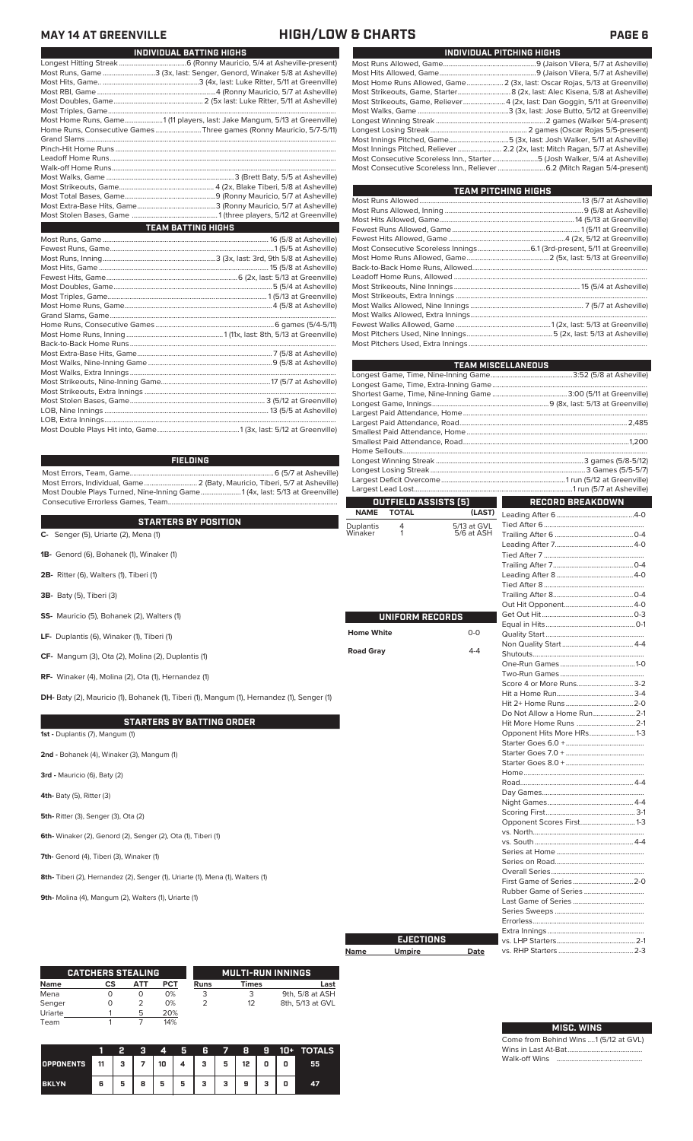### **MAY 14 AT GREENVILLE HIGH/LOW & CHARTS PAGE 6**

 $\mathcal{L}_{\mathcal{A}}$ 

| INDIVIDUAL BATTING HIGHS                                                  |  |
|---------------------------------------------------------------------------|--|
|                                                                           |  |
| Most Runs, Game 3 (3x, last: Senger, Genord, Winaker 5/8 at Asheville)    |  |
|                                                                           |  |
|                                                                           |  |
|                                                                           |  |
|                                                                           |  |
| Most Home Runs, Game1 (11 players, last: Jake Mangum, 5/13 at Greenville) |  |
| Home Runs, Consecutive Games Three games (Ronny Mauricio, 5/7-5/11)       |  |
|                                                                           |  |
|                                                                           |  |
|                                                                           |  |
|                                                                           |  |
|                                                                           |  |
|                                                                           |  |
|                                                                           |  |
|                                                                           |  |
|                                                                           |  |
| <b>TEAM BATTING HIGHS</b>                                                 |  |
|                                                                           |  |
|                                                                           |  |
|                                                                           |  |
|                                                                           |  |
|                                                                           |  |
|                                                                           |  |
|                                                                           |  |
|                                                                           |  |
|                                                                           |  |
|                                                                           |  |
|                                                                           |  |
|                                                                           |  |
|                                                                           |  |
|                                                                           |  |
|                                                                           |  |
|                                                                           |  |
|                                                                           |  |
|                                                                           |  |
|                                                                           |  |
|                                                                           |  |
|                                                                           |  |

### **FIELDING**

Most Errors, Team, Game...............................................................................6 (5/7 at Asheville) Most Errors, Individual, Game............................. 2 (Baty, Mauricio, Tiberi, 5/7 at Asheville) Most Double Plays Turned, Nine-Inning Game......................1 (4x, last: 5/13 at Greenville) Consecutive Errorless Games, Team.............................................................................................

|                                        |                                                                                            | <b>IVAME</b>      | <b>IVIAL</b>           | <b>LASI</b> | Lea         |
|----------------------------------------|--------------------------------------------------------------------------------------------|-------------------|------------------------|-------------|-------------|
|                                        | <b>STARTERS BY POSITION</b>                                                                | <b>Duplantis</b>  | 4                      | 5/13 at GVL | Tiec        |
|                                        | C- Senger (5), Uriarte (2), Mena (1)                                                       | Winaker           |                        | 5/6 at ASH  | Trai        |
|                                        | 1B- Genord (6), Bohanek (1), Winaker (1)                                                   |                   |                        |             | Lea<br>Tiec |
|                                        |                                                                                            |                   |                        |             | Trai        |
|                                        | 2B- Ritter (6), Walters (1), Tiberi (1)                                                    |                   |                        |             | Lea         |
|                                        |                                                                                            |                   |                        |             | Tiec        |
| <b>3B-</b> Baty (5), Tiberi (3)        |                                                                                            |                   |                        |             | Trai        |
|                                        |                                                                                            |                   |                        |             | Out<br>Get  |
|                                        | <b>SS-</b> Mauricio (5), Bohanek (2), Walters (1)                                          |                   | <b>UNIFORM RECORDS</b> |             | Equ         |
|                                        | LF- Duplantis (6), Winaker (1), Tiberi (1)                                                 | <b>Home White</b> |                        | $O-O$       | Qua         |
|                                        |                                                                                            | <b>Road Gray</b>  |                        | $4 - 4$     | Non         |
|                                        | CF- Mangum (3), Ota (2), Molina (2), Duplantis (1)                                         |                   |                        |             | Shu         |
|                                        |                                                                                            |                   |                        |             | One<br>Twc  |
|                                        | <b>RF-</b> Winaker (4), Molina (2), Ota (1), Hernandez (1)                                 |                   |                        |             | Sco         |
|                                        | DH- Baty (2), Mauricio (1), Bohanek (1), Tiberi (1), Mangum (1), Hernandez (1), Senger (1) |                   |                        |             | Hit a       |
|                                        |                                                                                            |                   |                        |             | Hit:        |
|                                        |                                                                                            |                   |                        |             | Do I        |
|                                        | <b>STARTERS BY BATTING ORDER</b>                                                           |                   |                        |             | Hit I       |
| <b>1st</b> - Duplantis (7), Mangum (1) |                                                                                            |                   |                        |             | Opp<br>Star |
|                                        |                                                                                            |                   |                        |             |             |

**2nd -** Bohanek (4), Winaker (3), Mangum (1)

**3rd -** Mauricio (6), Baty (2)

**4th-** Baty (5), Ritter (3)

**5th-** Ritter (3), Senger (3), Ota (2)

**6th-** Winaker (2), Genord (2), Senger (2), Ota (1), Tiberi (1)

7th- Genord (4), Tiberi (3), Winaker (1)

**8th-** Tiberi (2), Hernandez (2), Senger (1), Uriarte (1), Mena (1), Walters (1)

**9th-** Molina (4), Mangum (2), Walters (1), Uriarte (1)

|         | <b>CATCHERS STEALING</b> |     |     |      | <b>MULTI-RUN INNINGS</b> |                  |
|---------|--------------------------|-----|-----|------|--------------------------|------------------|
| Name    | СS                       | АТТ | PCT | Runs | Times                    | Last             |
| Mena    |                          | O   | 0%  |      |                          | 9th, 5/8 at ASH  |
| Senger  |                          |     | 0%  |      | 12                       | 8th, 5/13 at GVL |
| Uriarte |                          | 5   | 20% |      |                          |                  |
| Team    |                          |     | 14% |      |                          |                  |

|              |    | 2 | з | 4  | 5                      | 6            | -75 | 8  | 9 | 10+ | <b>TOTALS</b> |
|--------------|----|---|---|----|------------------------|--------------|-----|----|---|-----|---------------|
| OPPONENTS    | 11 | з |   | 10 | $\boldsymbol{\Lambda}$ | $\mathbf{3}$ | 5   | 12 | 0 | 0   | 55            |
| <b>BKLYN</b> | 6  | 5 | 8 | 5  | 5                      | з            | з   | 9  | з | o   | 47            |

| INDIVIDUAL PITCHING HIGHS                                                     |
|-------------------------------------------------------------------------------|
|                                                                               |
|                                                                               |
| Most Home Runs Allowed, Game 2 (3x, last: Oscar Rojas, 5/13 at Greenville)    |
| Most Strikeouts, Game, Starter 8 (2x, last: Alec Kisena, 5/8 at Asheville)    |
| Most Strikeouts, Game, Reliever 4 (2x, last: Dan Goggin, 5/11 at Greenville)  |
|                                                                               |
|                                                                               |
|                                                                               |
|                                                                               |
| Most Innings Pitched, Reliever  2.2 (2x, last: Mitch Ragan, 5/7 at Asheville) |
| Most Consecutive Scoreless Inn., Starter5 (Josh Walker, 5/4 at Asheville)     |
| Most Consecutive Scoreless Inn., Reliever 6.2 (Mitch Ragan 5/4-present)       |

| TEAM PITCHING HIGHS |  |
|---------------------|--|
|                     |  |
|                     |  |
|                     |  |
|                     |  |
|                     |  |
|                     |  |
|                     |  |
|                     |  |
|                     |  |
|                     |  |
|                     |  |
|                     |  |
|                     |  |
|                     |  |
|                     |  |
|                     |  |

|                             |             | <b>TEAM MISCELLANEOUS</b>   |  |  |  |  |
|-----------------------------|-------------|-----------------------------|--|--|--|--|
|                             |             |                             |  |  |  |  |
|                             |             |                             |  |  |  |  |
|                             |             |                             |  |  |  |  |
|                             |             |                             |  |  |  |  |
|                             |             |                             |  |  |  |  |
|                             |             |                             |  |  |  |  |
|                             |             |                             |  |  |  |  |
|                             |             |                             |  |  |  |  |
|                             |             |                             |  |  |  |  |
|                             |             |                             |  |  |  |  |
|                             |             |                             |  |  |  |  |
| <b>OUTFIELD ASSISTS [5]</b> |             | RECORD BREAKDOWN            |  |  |  |  |
| <b>TOTAL</b><br><b>NAME</b> | (LAST)      |                             |  |  |  |  |
| Duplantis<br>4              | 5/13 at GVL |                             |  |  |  |  |
| 1<br>Winaker                | 5/6 at ASH  |                             |  |  |  |  |
|                             |             |                             |  |  |  |  |
|                             |             |                             |  |  |  |  |
|                             |             |                             |  |  |  |  |
|                             |             |                             |  |  |  |  |
|                             |             |                             |  |  |  |  |
|                             |             |                             |  |  |  |  |
|                             |             |                             |  |  |  |  |
| UNIFORM RECORDS             |             |                             |  |  |  |  |
| <b>Home White</b>           | $0 - 0$     |                             |  |  |  |  |
|                             |             |                             |  |  |  |  |
| <b>Road Gray</b>            | $4 - 4$     |                             |  |  |  |  |
|                             |             |                             |  |  |  |  |
|                             |             |                             |  |  |  |  |
|                             |             | Score 4 or More Runs3-2     |  |  |  |  |
|                             |             |                             |  |  |  |  |
|                             |             | Do Not Allow a Home Run 2-1 |  |  |  |  |
|                             |             | Hit More Home Runs  2-1     |  |  |  |  |
|                             |             | Opponent Hits More HRs 1-3  |  |  |  |  |
|                             |             |                             |  |  |  |  |
|                             |             |                             |  |  |  |  |
|                             |             |                             |  |  |  |  |
|                             |             |                             |  |  |  |  |
|                             |             |                             |  |  |  |  |
|                             |             |                             |  |  |  |  |
|                             |             |                             |  |  |  |  |
|                             |             | Opponent Scores First 1-3   |  |  |  |  |
|                             |             |                             |  |  |  |  |
|                             |             |                             |  |  |  |  |
|                             |             |                             |  |  |  |  |
|                             |             |                             |  |  |  |  |
|                             |             |                             |  |  |  |  |
|                             |             | First Game of Series2-0     |  |  |  |  |
|                             |             |                             |  |  |  |  |
|                             |             |                             |  |  |  |  |
|                             |             |                             |  |  |  |  |
|                             |             |                             |  |  |  |  |
| <b>EJECTIONS</b>            |             |                             |  |  |  |  |
| Umpire<br>Name              | Date        |                             |  |  |  |  |

### Come from Behind Wins ....1 (5/12 at GVL) **MISC. WINS**

Wins in Last At-Bat..... Walk-off Wins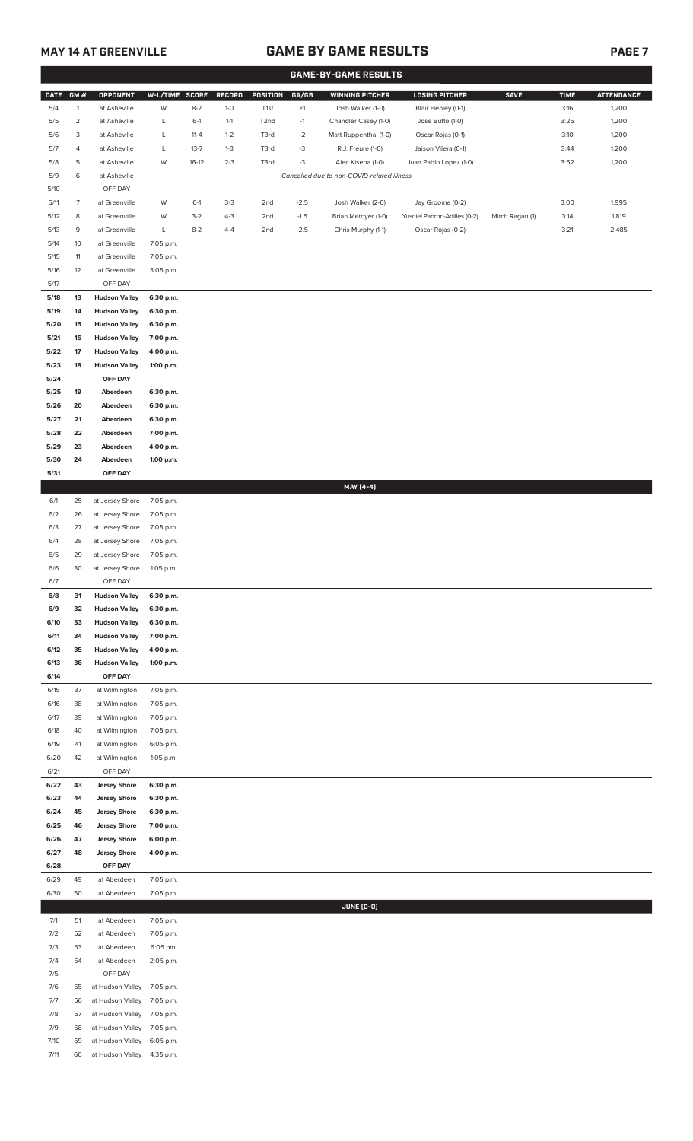# **MAY 14 AT GREENVILLE GAME BY GAME RESULTS PAGE 7**

|              |                |                                            |                        |          |         |                   |        | <b>GAME-BY-GAME RESULTS</b>                |                               |                 |             |                   |
|--------------|----------------|--------------------------------------------|------------------------|----------|---------|-------------------|--------|--------------------------------------------|-------------------------------|-----------------|-------------|-------------------|
| <b>DATE</b>  | GM#            | OPPONENT                                   | W-L/TIME SCORE         |          | RECORD  | POSITION          | GA/GB  | <b>WINNING PITCHER</b>                     | <b>LOSING PITCHER</b>         | <b>SAVE</b>     | <b>TIME</b> | <b>ATTENDANCE</b> |
| 5/4          | $\mathbf{1}$   | at Asheville                               | W                      | $8 - 2$  | $1 - 0$ | T1st              | $+1$   | Josh Walker (1-0)                          | Blair Henley (0-1)            |                 | 3:16        | 1,200             |
| 5/5          | $\overline{2}$ | at Asheville                               | L                      | $6-1$    | $1 - 1$ | T <sub>2</sub> nd | $-1$   | Chandler Casey (1-0)                       | Jose Butto (1-0)              |                 | 3:26        | 1,200             |
| 5/6          | 3              | at Asheville                               | L                      | $11 - 4$ | $1 - 2$ | T3rd              | $-2$   | Matt Ruppenthal (1-0)                      | Oscar Rojas (0-1)             |                 | 3:10        | 1,200             |
| 5/7          | 4              | at Asheville                               | L                      | $13 - 7$ | $1 - 3$ | T3rd              | $-3$   | R.J. Freure (1-0)                          | Jaison Vilera (0-1)           |                 | 3:44        | 1,200             |
| 5/8          | 5              | at Asheville                               | W                      | $16-12$  | $2 - 3$ | T3rd              | -3     | Alec Kisena (1-0)                          | Juan Pablo Lopez (1-0)        |                 | 3:52        | 1,200             |
| 5/9          | 6              | at Asheville                               |                        |          |         |                   |        | Cancelled due to non-COVID-related illness |                               |                 |             |                   |
| 5/10         |                | OFF DAY                                    |                        |          |         |                   |        |                                            |                               |                 |             |                   |
| 5/11         | $\overline{7}$ | at Greenville                              | W                      | $6-1$    | $3-3$   | 2nd               | $-2.5$ | Josh Walker (2-0)                          | Jay Groome (0-2)              |                 | 3:00        | 1,995             |
| 5/12         | 8              | at Greenville                              | W                      | $3 - 2$  | $4-3$   | 2nd               | $-1.5$ | Brian Metoyer (1-0)                        | Yusniel Padron-Artilles (0-2) | Mitch Ragan (1) | 3:14        | 1,819             |
| 5/13         | 9              | at Greenville                              | L                      | $8 - 2$  | $4 - 4$ | 2nd               | $-2.5$ | Chris Murphy (1-1)                         | Oscar Rojas (0-2)             |                 | 3:21        | 2,485             |
| 5/14         | 10             | at Greenville                              | 7:05 p.m.              |          |         |                   |        |                                            |                               |                 |             |                   |
| 5/15         | 11             | at Greenville                              | 7:05 p.m.              |          |         |                   |        |                                            |                               |                 |             |                   |
| 5/16         | 12             | at Greenville                              | 3:05 p.m.              |          |         |                   |        |                                            |                               |                 |             |                   |
| 5/17         |                | OFF DAY                                    |                        |          |         |                   |        |                                            |                               |                 |             |                   |
| 5/18         | 13             | <b>Hudson Valley</b>                       | 6:30 p.m.              |          |         |                   |        |                                            |                               |                 |             |                   |
| 5/19         | 14             | <b>Hudson Valley</b>                       | 6:30 p.m.              |          |         |                   |        |                                            |                               |                 |             |                   |
| 5/20         | 15             | <b>Hudson Valley</b>                       | 6:30 p.m.              |          |         |                   |        |                                            |                               |                 |             |                   |
| 5/21         | 16             | <b>Hudson Valley</b>                       | 7:00 p.m.              |          |         |                   |        |                                            |                               |                 |             |                   |
| 5/22         | 17             | <b>Hudson Valley</b>                       | 4:00 p.m.              |          |         |                   |        |                                            |                               |                 |             |                   |
| 5/23         | 18             | <b>Hudson Valley</b>                       | 1:00 p.m.              |          |         |                   |        |                                            |                               |                 |             |                   |
| 5/24         |                | OFF DAY                                    |                        |          |         |                   |        |                                            |                               |                 |             |                   |
| 5/25         | 19             | Aberdeen                                   | 6:30 p.m.              |          |         |                   |        |                                            |                               |                 |             |                   |
| 5/26         | 20             | Aberdeen                                   | 6:30 p.m.              |          |         |                   |        |                                            |                               |                 |             |                   |
| 5/27         | 21             | Aberdeen                                   | 6:30 p.m.              |          |         |                   |        |                                            |                               |                 |             |                   |
| 5/28         | 22             | Aberdeen                                   | 7:00 p.m.              |          |         |                   |        |                                            |                               |                 |             |                   |
| 5/29         | 23             | Aberdeen                                   | 4:00 p.m.              |          |         |                   |        |                                            |                               |                 |             |                   |
| 5/30         | 24             | Aberdeen                                   | 1:00 p.m.              |          |         |                   |        |                                            |                               |                 |             |                   |
| 5/31         |                | OFF DAY                                    |                        |          |         |                   |        | MAY [4-4]                                  |                               |                 |             |                   |
| 6/1          | 25             | at Jersey Shore                            | 7:05 p.m.              |          |         |                   |        |                                            |                               |                 |             |                   |
| 6/2          | 26             | at Jersey Shore                            | 7:05 p.m.              |          |         |                   |        |                                            |                               |                 |             |                   |
| 6/3          | 27             | at Jersey Shore                            | 7:05 p.m.              |          |         |                   |        |                                            |                               |                 |             |                   |
| 6/4          | 28             | at Jersey Shore                            | 7:05 p.m.              |          |         |                   |        |                                            |                               |                 |             |                   |
| 6/5          | 29             | at Jersey Shore                            | 7:05 p.m.              |          |         |                   |        |                                            |                               |                 |             |                   |
| 6/6          | 30             | at Jersey Shore                            | 1:05 p.m.              |          |         |                   |        |                                            |                               |                 |             |                   |
| 6/7          |                | OFF DAY                                    |                        |          |         |                   |        |                                            |                               |                 |             |                   |
| 6/8          | 31             | <b>Hudson Valley</b>                       | 6:30 p.m.              |          |         |                   |        |                                            |                               |                 |             |                   |
| 6/9          | 32             | <b>Hudson Valley</b>                       | 6:30 p.m.              |          |         |                   |        |                                            |                               |                 |             |                   |
| 6/10         | 33             | <b>Hudson Valley</b>                       | 6:30 p.m.              |          |         |                   |        |                                            |                               |                 |             |                   |
| 6/11         | 34             | <b>Hudson Valley</b>                       | 7:00 p.m.              |          |         |                   |        |                                            |                               |                 |             |                   |
| 6/12         | 35             | <b>Hudson Valley</b>                       | 4:00 p.m.              |          |         |                   |        |                                            |                               |                 |             |                   |
| 6/13         | 36             | <b>Hudson Valley</b>                       | 1:00 p.m.              |          |         |                   |        |                                            |                               |                 |             |                   |
| 6/14         |                | OFF DAY                                    |                        |          |         |                   |        |                                            |                               |                 |             |                   |
| 6/15         | 37             | at Wilmington                              | 7:05 p.m.              |          |         |                   |        |                                            |                               |                 |             |                   |
| 6/16         | 38             | at Wilmington                              | 7:05 p.m.              |          |         |                   |        |                                            |                               |                 |             |                   |
| 6/17         | 39             | at Wilmington                              | 7:05 p.m.              |          |         |                   |        |                                            |                               |                 |             |                   |
| 6/18         | 40             | at Wilmington                              | 7:05 p.m.              |          |         |                   |        |                                            |                               |                 |             |                   |
| 6/19         | 41             | at Wilmington                              | 6:05 p.m.              |          |         |                   |        |                                            |                               |                 |             |                   |
| 6/20         | 42             | at Wilmington                              | 1:05 p.m.              |          |         |                   |        |                                            |                               |                 |             |                   |
| 6/21         |                | OFF DAY                                    |                        |          |         |                   |        |                                            |                               |                 |             |                   |
| 6/22<br>6/23 | 43<br>44       | <b>Jersey Shore</b><br><b>Jersey Shore</b> | 6:30 p.m.<br>6:30 p.m. |          |         |                   |        |                                            |                               |                 |             |                   |
| 6/24         | 45             | <b>Jersey Shore</b>                        | 6:30 p.m.              |          |         |                   |        |                                            |                               |                 |             |                   |
| 6/25         | 46             | <b>Jersey Shore</b>                        | 7:00 p.m.              |          |         |                   |        |                                            |                               |                 |             |                   |
| 6/26         | 47             | <b>Jersey Shore</b>                        | 6:00 p.m.              |          |         |                   |        |                                            |                               |                 |             |                   |
| 6/27         | 48             | <b>Jersey Shore</b>                        | 4:00 p.m.              |          |         |                   |        |                                            |                               |                 |             |                   |
| 6/28         |                | OFF DAY                                    |                        |          |         |                   |        |                                            |                               |                 |             |                   |
| 6/29         | 49             | at Aberdeen                                | 7:05 p.m.              |          |         |                   |        |                                            |                               |                 |             |                   |
| 6/30         | 50             | at Aberdeen                                | 7:05 p.m.              |          |         |                   |        |                                            |                               |                 |             |                   |
|              |                |                                            |                        |          |         |                   |        | <b>JUNE (0-0)</b>                          |                               |                 |             |                   |
| 7/1          | 51             | at Aberdeen                                | 7:05 p.m.              |          |         |                   |        |                                            |                               |                 |             |                   |
| 7/2          | 52             | at Aberdeen                                | 7:05 p.m.              |          |         |                   |        |                                            |                               |                 |             |                   |
| 7/3          | 53             | at Aberdeen                                | 6:05 pm.               |          |         |                   |        |                                            |                               |                 |             |                   |
| 7/4          | 54             | at Aberdeen                                | 2:05 p.m.              |          |         |                   |        |                                            |                               |                 |             |                   |
| 7/5          |                | OFF DAY                                    |                        |          |         |                   |        |                                            |                               |                 |             |                   |
| 7/6          | 55             | at Hudson Valley                           | 7:05 p.m.              |          |         |                   |        |                                            |                               |                 |             |                   |
| 7/7          | 56             | at Hudson Valley                           | 7:05 p.m.              |          |         |                   |        |                                            |                               |                 |             |                   |
| 7/8          | 57             | at Hudson Valley                           | 7:05 p.m.              |          |         |                   |        |                                            |                               |                 |             |                   |
| 7/9          | 58             | at Hudson Valley                           | 7:05 p.m.              |          |         |                   |        |                                            |                               |                 |             |                   |
| 7/10         | 59             | at Hudson Valley 6:05 p.m.                 |                        |          |         |                   |        |                                            |                               |                 |             |                   |

7/11 60 at Hudson Valley 4:35 p.m.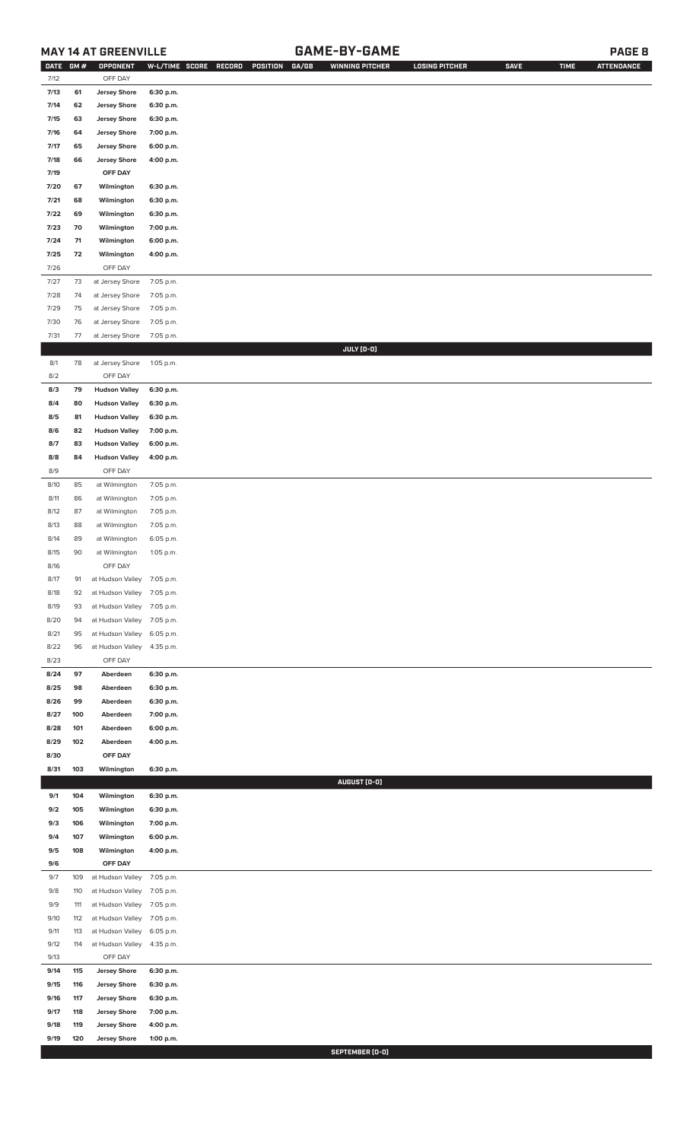## **MAY 14 AT GREENVILLE GAME-BY-GAME PAGE 8**

| <b>DATE</b> | GM# | OPPONENT                   | W-L/TIME SCORE | RECORD<br>POSITION<br>GA/GB | <b>WINNING PITCHER</b> | <b>LOSING PITCHER</b> | <b>SAVE</b> | <b>TIME</b> | <b>ATTENDANCE</b> |
|-------------|-----|----------------------------|----------------|-----------------------------|------------------------|-----------------------|-------------|-------------|-------------------|
| 7/12        |     | OFF DAY                    |                |                             |                        |                       |             |             |                   |
| 7/13        | 61  | <b>Jersey Shore</b>        | 6:30 p.m.      |                             |                        |                       |             |             |                   |
| 7/14        | 62  | <b>Jersey Shore</b>        | 6:30 p.m.      |                             |                        |                       |             |             |                   |
| 7/15        | 63  | <b>Jersey Shore</b>        | 6:30 p.m.      |                             |                        |                       |             |             |                   |
| 7/16        | 64  | <b>Jersey Shore</b>        | 7:00 p.m.      |                             |                        |                       |             |             |                   |
| 7/17        | 65  | <b>Jersey Shore</b>        | 6:00 p.m.      |                             |                        |                       |             |             |                   |
|             |     |                            |                |                             |                        |                       |             |             |                   |
| 7/18        | 66  | <b>Jersey Shore</b>        | 4:00 p.m.      |                             |                        |                       |             |             |                   |
| 7/19        |     | OFF DAY                    |                |                             |                        |                       |             |             |                   |
| 7/20        | 67  | Wilmington                 | 6:30 p.m.      |                             |                        |                       |             |             |                   |
| 7/21        | 68  | Wilmington                 | 6:30 p.m.      |                             |                        |                       |             |             |                   |
| 7/22        | 69  | Wilmington                 | 6:30 p.m.      |                             |                        |                       |             |             |                   |
| 7/23        | 70  | Wilmington                 | 7:00 p.m.      |                             |                        |                       |             |             |                   |
| 7/24        | 71  | Wilmington                 | 6:00 p.m.      |                             |                        |                       |             |             |                   |
| 7/25        | 72  | Wilmington                 | 4:00 p.m.      |                             |                        |                       |             |             |                   |
| 7/26        |     | OFF DAY                    |                |                             |                        |                       |             |             |                   |
| 7/27        | 73  | at Jersey Shore            | 7:05 p.m.      |                             |                        |                       |             |             |                   |
| 7/28        | 74  | at Jersey Shore            | 7:05 p.m.      |                             |                        |                       |             |             |                   |
| 7/29        | 75  | at Jersey Shore            |                |                             |                        |                       |             |             |                   |
|             |     |                            | 7:05 p.m.      |                             |                        |                       |             |             |                   |
| 7/30        | 76  | at Jersey Shore            | 7:05 p.m.      |                             |                        |                       |             |             |                   |
| 7/31        | 77  | at Jersey Shore            | 7:05 p.m.      |                             |                        |                       |             |             |                   |
|             |     |                            |                |                             | JULY (0-0)             |                       |             |             |                   |
| 8/1         | 78  | at Jersey Shore            | 1:05 p.m.      |                             |                        |                       |             |             |                   |
| 8/2         |     | OFF DAY                    |                |                             |                        |                       |             |             |                   |
| 8/3         | 79  | <b>Hudson Valley</b>       | 6:30 p.m.      |                             |                        |                       |             |             |                   |
| 8/4         | 80  | <b>Hudson Valley</b>       | 6:30 p.m.      |                             |                        |                       |             |             |                   |
| 8/5         | 81  | <b>Hudson Valley</b>       | 6:30 p.m.      |                             |                        |                       |             |             |                   |
| 8/6         | 82  | <b>Hudson Valley</b>       | 7:00 p.m.      |                             |                        |                       |             |             |                   |
| 8/7         | 83  | <b>Hudson Valley</b>       | 6:00 p.m.      |                             |                        |                       |             |             |                   |
| 8/8         | 84  | <b>Hudson Valley</b>       | 4:00 p.m.      |                             |                        |                       |             |             |                   |
| 8/9         |     | OFF DAY                    |                |                             |                        |                       |             |             |                   |
|             |     |                            |                |                             |                        |                       |             |             |                   |
| 8/10        | 85  | at Wilmington              | 7:05 p.m.      |                             |                        |                       |             |             |                   |
| 8/11        | 86  | at Wilmington              | 7:05 p.m.      |                             |                        |                       |             |             |                   |
| 8/12        | 87  | at Wilmington              | 7:05 p.m.      |                             |                        |                       |             |             |                   |
| 8/13        | 88  | at Wilmington              | 7:05 p.m.      |                             |                        |                       |             |             |                   |
| 8/14        | 89  | at Wilmington              | 6:05 p.m.      |                             |                        |                       |             |             |                   |
| 8/15        | 90  | at Wilmington              | 1:05 p.m.      |                             |                        |                       |             |             |                   |
| 8/16        |     | OFF DAY                    |                |                             |                        |                       |             |             |                   |
| 8/17        | 91  | at Hudson Valley 7:05 p.m. |                |                             |                        |                       |             |             |                   |
| 8/18        | 92  | at Hudson Valley           | 7:05 p.m.      |                             |                        |                       |             |             |                   |
| 8/19        | 93  | at Hudson Valley           | 7:05 p.m.      |                             |                        |                       |             |             |                   |
| 8/20        | 94  | at Hudson Valley           | 7:05 p.m.      |                             |                        |                       |             |             |                   |
| 8/21        | 95  | at Hudson Valley           | 6:05 p.m.      |                             |                        |                       |             |             |                   |
| 8/22        |     |                            |                |                             |                        |                       |             |             |                   |
|             | 96  | at Hudson Valley           | 4:35 p.m.      |                             |                        |                       |             |             |                   |
| 8/23        |     | OFF DAY                    |                |                             |                        |                       |             |             |                   |
| 8/24        | 97  | Aberdeen                   | 6:30 p.m.      |                             |                        |                       |             |             |                   |
| 8/25        | 98  | Aberdeen                   | 6:30 p.m.      |                             |                        |                       |             |             |                   |
| 8/26        | 99  | Aberdeen                   | 6:30 p.m.      |                             |                        |                       |             |             |                   |
| 8/27        | 100 | Aberdeen                   | 7:00 p.m.      |                             |                        |                       |             |             |                   |
| 8/28        | 101 | Aberdeen                   | 6:00 p.m.      |                             |                        |                       |             |             |                   |
| 8/29        | 102 | Aberdeen                   | 4:00 p.m.      |                             |                        |                       |             |             |                   |
| 8/30        |     | OFF DAY                    |                |                             |                        |                       |             |             |                   |
| 8/31        | 103 | Wilmington                 | 6:30 p.m.      |                             |                        |                       |             |             |                   |
|             |     |                            |                |                             | AUGUST (0-0)           |                       |             |             |                   |
| 9/1         | 104 | Wilmington                 | 6:30 p.m.      |                             |                        |                       |             |             |                   |
| 9/2         | 105 | Wilmington                 | 6:30 p.m.      |                             |                        |                       |             |             |                   |
| 9/3         | 106 | Wilmington                 | 7:00 p.m.      |                             |                        |                       |             |             |                   |
|             |     |                            |                |                             |                        |                       |             |             |                   |
| 9/4         | 107 | Wilmington                 | 6:00 p.m.      |                             |                        |                       |             |             |                   |
| 9/5         | 108 | Wilmington                 | 4:00 p.m.      |                             |                        |                       |             |             |                   |
| 9/6         |     | OFF DAY                    |                |                             |                        |                       |             |             |                   |
| 9/7         | 109 | at Hudson Valley           | 7:05 p.m.      |                             |                        |                       |             |             |                   |
| 9/8         | 110 | at Hudson Valley           | 7:05 p.m.      |                             |                        |                       |             |             |                   |
| 9/9         | 111 | at Hudson Valley           | 7:05 p.m.      |                             |                        |                       |             |             |                   |
| 9/10        | 112 | at Hudson Valley           | 7:05 p.m.      |                             |                        |                       |             |             |                   |
| 9/11        | 113 | at Hudson Valley           | 6:05 p.m.      |                             |                        |                       |             |             |                   |
| 9/12        | 114 | at Hudson Valley           | 4:35 p.m.      |                             |                        |                       |             |             |                   |
| 9/13        |     | OFF DAY                    |                |                             |                        |                       |             |             |                   |
| 9/14        | 115 | <b>Jersey Shore</b>        | 6:30 p.m.      |                             |                        |                       |             |             |                   |
| 9/15        | 116 | <b>Jersey Shore</b>        | 6:30 p.m.      |                             |                        |                       |             |             |                   |
|             | 117 |                            |                |                             |                        |                       |             |             |                   |
| 9/16        |     | <b>Jersey Shore</b>        | 6:30 p.m.      |                             |                        |                       |             |             |                   |
| 9/17        | 118 | <b>Jersey Shore</b>        | 7:00 p.m.      |                             |                        |                       |             |             |                   |
| 9/18        | 119 | <b>Jersey Shore</b>        | 4:00 p.m.      |                             |                        |                       |             |             |                   |
| 9/19        | 120 | <b>Jersey Shore</b>        | 1:00 p.m.      |                             |                        |                       |             |             |                   |

**SEPTEMBER (0-0)**